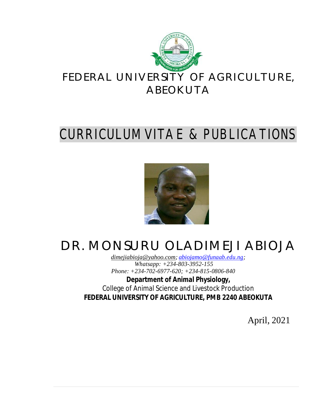

# CURRICULUM VITAE & PUBLICATIONS



# DR. MONSURU OLADIMEJI ABIOJA

*[dimejiabioja@yahoo.com;](mailto:dimejiabioja@yahoo.com;) [abiojamo@funaab.edu.ng;](mailto:abiojamo@funaab.edu.ng;) Whatsapp: +234-803-3952-155 Phone: +234-702-6977-620; +234-815-0806-840*

**Department of Animal Physiology,** College of Animal Science and Livestock Production **FEDERAL UNIVERSITY OF AGRICULTURE, PMB 2240 ABEOKUTA**

April, 2021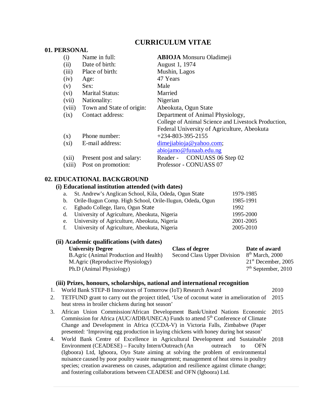# **CURRICULUM VITAE**

| 01. PERSONAL |                           |                                                     |
|--------------|---------------------------|-----------------------------------------------------|
| (i)          | Name in full:             | <b>ABIOJA</b> Monsuru Oladimeji                     |
| (ii)         | Date of birth:            | August 1, 1974                                      |
| (iii)        | Place of birth:           | Mushin, Lagos                                       |
| (iv)         | Age:                      | 47 Years                                            |
| (v)          | Sex:                      | Male                                                |
| (vi)         | <b>Marital Status:</b>    | Married                                             |
| (vii)        | Nationality:              | Nigerian                                            |
| (viii)       | Town and State of origin: | Abeokuta, Ogun State                                |
| (ix)         | Contact address:          | Department of Animal Physiology,                    |
|              |                           | College of Animal Science and Livestock Production, |
|              |                           | Federal University of Agriculture, Abeokuta         |
| (x)          | Phone number:             | $+234 - 803 - 395 - 2155$                           |
| $(x_i)$      | E-mail address:           | dimejiabioja@yahoo.com;                             |
|              |                           | abiojamo@funaab.edu.ng                              |
| (xii)        | Present post and salary:  | CONUASS 06 Step 02<br>Reader -                      |
| (xiii)       | Post on promotion:        | Professor - CONUASS 07                              |
|              |                           |                                                     |

# **02. EDUCATIONAL BACKGROUND**

#### **(i) Educational institution attended (with dates)**

| a. St. Andrew's Anglican School, Kila, Odeda, Ogun State     | 1979-1985 |
|--------------------------------------------------------------|-----------|
| b. Orile-Ilugun Comp. High School, Orile-Ilugun, Odeda, Ogun | 1985-1991 |
| c. Egbado College, Ilaro, Ogun State                         | 1992      |
| d. University of Agriculture, Abeokuta, Nigeria              | 1995-2000 |
| e. University of Agriculture, Abeokuta, Nigeria              | 2001-2005 |
| f. University of Agriculture, Abeokuta, Nigeria              | 2005-2010 |
|                                                              |           |

# **(ii) Academic qualifications (with dates)**

| <b>University Degree</b>               | <b>Class of degree</b>      | Date of award               |
|----------------------------------------|-----------------------------|-----------------------------|
| B.Agric (Animal Production and Health) | Second Class Upper Division | 8 <sup>th</sup> March, 2000 |
| M.Agric (Reproductive Physiology)      |                             | $21st$ December, 2005       |
| Ph.D (Animal Physiology)               |                             | $7th$ September, 2010       |

#### **(iii) Prizes, honours, scholarships, national and international recognition**

- 1. World Bank STEP-B Innovators of Tomorrow (IoT) Research Award 2010
- 2. TETFUND grant to carry out the project titled, 'Use of coconut water in amelioration of heat stress in broiler chickens during hot season' 2015
- 3. African Union Commission/African Development Bank/United Nations Economic Commission for Africa (AUC/AfDB/UNECA) Funds to attend 5<sup>th</sup> Conference of Climate Change and Development in Africa (CCDA-V) in Victoria Falls, Zimbabwe (Paper presented: 'Improving egg production in laying chickens with honey during hot season' 2015
- 4. World Bank Centre of Excellence in Agricultural Development and Sustainable 2018 Environment (CEADESE) – Faculty Intern/Outreach (An outreach to OFN (Igboora) Ltd, Igboora, Oyo State aiming at solving the problem of environmental nuisance caused by poor poultry waste management; management of heat stress in poultry species; creation awareness on causes, adaptation and resilience against climate change; and fostering collaborations between CEADESE and OFN (Igboora) Ltd.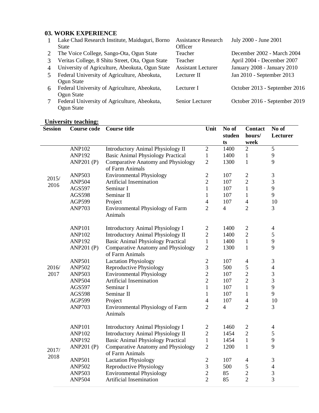# **03. WORK EXPERIENCE**

| $\mathbf{1}$ | Lake Chad Research Institute, Maiduguri, Borno   | <b>Assistance Research</b> | July 2000 - June 2001         |
|--------------|--------------------------------------------------|----------------------------|-------------------------------|
|              | <b>State</b>                                     | Officer                    |                               |
| 2            | The Voice College, Sango-Ota, Ogun State         | Teacher                    | December 2002 - March 2004    |
| 3            | Veritas College, 8 Shitu Street, Ota, Ogun State | Teacher                    | April 2004 - December 2007    |
| 4            | University of Agriculture, Abeokuta, Ogun State  | <b>Assistant Lecturer</b>  | January 2008 - January 2010   |
| 5            | Federal University of Agriculture, Abeokuta,     | Lecturer II                | Jan 2010 - September 2013     |
|              | Ogun State                                       |                            |                               |
| 6            | Federal University of Agriculture, Abeokuta,     | Lecturer I                 | October 2013 - September 2016 |
|              | Ogun State                                       |                            |                               |
| 7            | Federal University of Agriculture, Abeokuta,     | Senior Lecturer            | October 2016 - September 2019 |
|              | Ogun State                                       |                            |                               |

# **University teaching:**

| <b>Session</b> | <b>Course code</b> | <b>Course title</b>                                          | Unit           | No of<br>studen<br>ts | <b>Contact</b><br>hours/<br>week | No of<br>Lecturer |
|----------------|--------------------|--------------------------------------------------------------|----------------|-----------------------|----------------------------------|-------------------|
|                | <b>ANP102</b>      | <b>Introductory Animal Physiology II</b>                     | $\mathbf{2}$   | 1400                  | $\overline{2}$                   | 5                 |
|                | <b>ANP192</b>      | <b>Basic Animal Physiology Practical</b>                     | $\mathbf{1}$   | 1400                  | $\mathbf{1}$                     | 9                 |
|                | <b>ANP201 (P)</b>  | <b>Comparative Anatomy and Physiology</b><br>of Farm Animals | $\overline{2}$ | 1300                  | $\mathbf{1}$                     | 9                 |
| 2015/          | <b>ANP503</b>      | <b>Environmental Physiology</b>                              | $\overline{2}$ | 107                   | $\mathbf{2}$                     | 3                 |
| 2016           | <b>ANP504</b>      | Artificial Insemination                                      | $\overline{2}$ | 107                   | $\overline{2}$                   | 3                 |
|                | <b>AGS597</b>      | Seminar I                                                    | $\mathbf{1}$   | 107                   | $\mathbf{1}$                     | 9                 |
|                | <b>AGS598</b>      | Seminar II                                                   | $\mathbf{1}$   | 107                   | 1                                | 9                 |
|                | <b>AGP599</b>      | Project                                                      | $\overline{4}$ | 107                   | $\overline{4}$                   | 10                |
|                | <b>ANP703</b>      | <b>Environmental Physiology of Farm</b><br>Animals           | $\overline{2}$ | $\overline{4}$        | $\overline{2}$                   | 3                 |
|                | <b>ANP101</b>      | <b>Introductory Animal Physiology I</b>                      | $\sqrt{2}$     | 1400                  | $\sqrt{2}$                       | $\overline{4}$    |
|                | <b>ANP102</b>      | <b>Introductory Animal Physiology II</b>                     | $\overline{2}$ | 1400                  | $\overline{2}$                   | 5                 |
|                | <b>ANP192</b>      | <b>Basic Animal Physiology Practical</b>                     | $\mathbf{1}$   | 1400                  | $\mathbf{1}$                     | 9                 |
|                | <b>ANP201 (P)</b>  | <b>Comparative Anatomy and Physiology</b><br>of Farm Animals | $\overline{2}$ | 1300                  | $\mathbf{1}$                     | 9                 |
|                | <b>ANP501</b>      | <b>Lactation Physiology</b>                                  | $\sqrt{2}$     | 107                   | $\overline{4}$                   | 3                 |
| 2016/          | <b>ANP502</b>      | Reproductive Physiology                                      | $\mathfrak{Z}$ | 500                   | 5                                | $\overline{4}$    |
| 2017           | <b>ANP503</b>      | <b>Environmental Physiology</b>                              | $\overline{2}$ | 107                   | $\overline{2}$                   | $\mathfrak{Z}$    |
|                | <b>ANP504</b>      | Artificial Insemination                                      | $\overline{2}$ | 107                   | $\overline{2}$                   | 3                 |
|                | <b>AGS597</b>      | Seminar I                                                    | $\mathbf{1}$   | 107                   | $\mathbf{1}$                     | 9                 |
|                | <b>AGS598</b>      | Seminar II                                                   | $\mathbf{1}$   | 107                   | $\mathbf{1}$                     | 9                 |
|                | <b>AGP599</b>      | Project                                                      | $\overline{4}$ | 107                   | $\overline{4}$                   | 10                |
|                | <b>ANP703</b>      | <b>Environmental Physiology of Farm</b><br>Animals           | $\overline{2}$ | $\overline{4}$        | $\overline{2}$                   | 3                 |
|                | <b>ANP101</b>      | <b>Introductory Animal Physiology I</b>                      | $\overline{2}$ | 1460                  | $\overline{2}$                   | $\overline{4}$    |
|                | <b>ANP102</b>      | <b>Introductory Animal Physiology II</b>                     | $\overline{2}$ | 1454                  | $\overline{2}$                   | 5                 |
|                | <b>ANP192</b>      | <b>Basic Animal Physiology Practical</b>                     | $\mathbf{1}$   | 1454                  | $\mathbf{1}$                     | $\mathbf{9}$      |
| 2017/          | <b>ANP201 (P)</b>  | <b>Comparative Anatomy and Physiology</b><br>of Farm Animals | $\overline{2}$ | 1200                  | $\mathbf{1}$                     | 9                 |
| 2018           | <b>ANP501</b>      | <b>Lactation Physiology</b>                                  | $\sqrt{2}$     | 107                   | $\overline{4}$                   | $\mathfrak{Z}$    |
|                | <b>ANP502</b>      | Reproductive Physiology                                      | $\mathfrak{Z}$ | 500                   | $\mathfrak s$                    | $\overline{4}$    |
|                | <b>ANP503</b>      | <b>Environmental Physiology</b>                              | $\overline{c}$ | 85                    | $\overline{c}$                   | $\mathfrak{Z}$    |
|                | <b>ANP504</b>      | <b>Artificial Insemination</b>                               | $\overline{2}$ | 85                    | $\overline{2}$                   | $\overline{3}$    |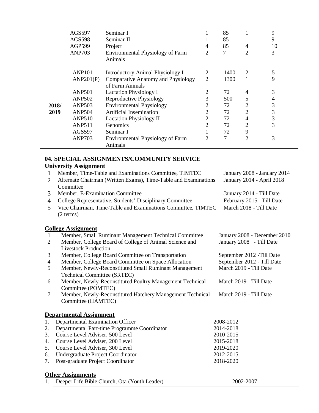|       | <b>AGS597</b> | Seminar I                                                    |                | 85   |                             | 9  |
|-------|---------------|--------------------------------------------------------------|----------------|------|-----------------------------|----|
|       | <b>AGS598</b> | Seminar II                                                   |                | 85   |                             | 9  |
|       | <b>AGP599</b> | Project                                                      | 4              | 85   | 4                           | 10 |
|       | <b>ANP703</b> | <b>Environmental Physiology of Farm</b><br>Animals           | $\overline{c}$ | 7    | 2                           | 3  |
|       | <b>ANP101</b> | <b>Introductory Animal Physiology I</b>                      | 2              | 1400 | 2                           | 5  |
|       | ANP201(P)     | <b>Comparative Anatomy and Physiology</b><br>of Farm Animals | $\overline{2}$ | 1300 |                             | 9  |
|       | <b>ANP501</b> | <b>Lactation Physiology I</b>                                | 2              | 72   | 4                           | 3  |
|       | <b>ANP502</b> | Reproductive Physiology                                      | 3              | 500  | 5                           | 4  |
| 2018/ | <b>ANP503</b> | <b>Environmental Physiology</b>                              |                | 72   | 2                           | 3  |
| 2019  | <b>ANP504</b> | Artificial Insemination                                      | 2              | 72   | 2                           | 3  |
|       | <b>ANP510</b> | <b>Lactation Physiology II</b>                               | 2              | 72   | 4                           | 3  |
|       | <b>ANP511</b> | <b>Genomics</b>                                              | 2              | 72   | $\overline{2}$              | 3  |
|       | <b>AGS597</b> | Seminar I                                                    |                | 72   | 9                           |    |
|       | <b>ANP703</b> | Environmental Physiology of Farm<br>Animals                  | $\mathfrak{D}$ | 7    | $\mathcal{D}_{\mathcal{L}}$ | 3  |

# **04. SPECIAL ASSIGNMENTS/COMMUNITY SERVICE University Assignment**

| $\mathbf{1}$   | Member, Time-Table and Examinations Committee, TIMTEC                                 | January 2008 - January 2014  |
|----------------|---------------------------------------------------------------------------------------|------------------------------|
| 2              | Alternate Chairman (Written Exams), Time-Table and Examinations<br>Committee          | January 2014 - April 2018    |
| 3              | Member, E-Examination Committee                                                       | January 2014 - Till Date     |
| $\overline{4}$ | College Representative, Students' Disciplinary Committee                              | February 2015 - Till Date    |
| 5              | Vice Chairman, Time-Table and Examinations Committee, TIMTEC                          | March 2018 - Till Date       |
|                | (2 terms)                                                                             |                              |
|                | <b>College Assignment</b>                                                             |                              |
| $\mathbf{1}$   | Member, Small Ruminant Management Technical Committee                                 | January 2008 - December 2010 |
| $\mathfrak{2}$ | Member, College Board of College of Animal Science and<br><b>Livestock Production</b> | January 2008 - Till Date     |
| 3              | Member, College Board Committee on Transportation                                     | September 2012 - Till Date   |
| $\overline{4}$ | Member, College Board Committee on Space Allocation                                   | September 2012 - Till Date   |
| 5              | Member, Newly-Reconstituted Small Ruminant Management<br>Technical Committee (SRTEC)  | March 2019 - Till Date       |
| 6              | Member, Newly-Reconstituted Poultry Management Technical<br>Committee (POMTEC)        | March 2019 - Till Date       |
| 7              | Member, Newly-Reconstituted Hatchery Management Technical<br>Committee (HAMTEC)       | March 2019 - Till Date       |
|                | <u>Departmental Assignment</u>                                                        |                              |
| 1.             | Departmental Examination Officer                                                      | 2008-2012                    |
| 2.             | Departmental Part-time Programme Coordinator                                          | 2014-2018                    |
| 3.             | Course Level Adviser, 500 Level                                                       | 2010-2015                    |
| 4.             | Course Level Adviser, 200 Level                                                       | 2015-2018                    |
| 5.             | Course Level Adviser, 300 Level                                                       | 2019-2020                    |
| 6.             | Undergraduate Project Coordinator                                                     | 2012-2015                    |
| 7.             | Post-graduate Project Coordinator                                                     | 2018-2020                    |
|                | <b>Other Assignments</b>                                                              |                              |
| 1.             | Deeper Life Bible Church, Ota (Youth Leader)                                          | 2002-2007                    |

| Deeper Life Bible Church, Ota (Youth Leader) |  |
|----------------------------------------------|--|
|                                              |  |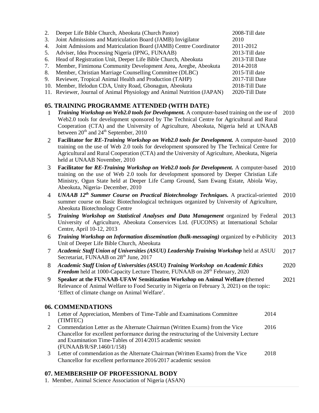| 2.             | Deeper Life Bible Church, Abeokuta (Church Pastor)                                                                                                                                                                                                 | 2008-Till date                   |      |
|----------------|----------------------------------------------------------------------------------------------------------------------------------------------------------------------------------------------------------------------------------------------------|----------------------------------|------|
| 3.             | Joint Admissions and Matriculation Board (JAMB) Invigilator                                                                                                                                                                                        | 2010                             |      |
| 4.             | Joint Admissions and Matriculation Board (JAMB) Centre Coordinator                                                                                                                                                                                 | 2011-2012                        |      |
| 5.             | Adviser, Idea Processing Nigeria (IPNG, FUNAAB)                                                                                                                                                                                                    | 2013-Till date                   |      |
| 6.             | Head of Registration Unit, Deeper Life Bible Church, Abeokuta                                                                                                                                                                                      | 2013-Till Date                   |      |
| 7.             | Member, Fimimona Community Development Area, Aregbe, Abeokuta                                                                                                                                                                                      | 2014-2018                        |      |
| 8.<br>9.       | Member, Christian Marriage Counselling Committee (DLBC)                                                                                                                                                                                            | 2015-Till date<br>2017-Till Date |      |
|                | Reviewer, Tropical Animal Health and Production (TAHP)<br>10. Member, Ifelodun CDA, Unity Road, Gbonagun, Abeokuta                                                                                                                                 | 2018-Till Date                   |      |
|                | 11. Reviewer, Journal of Animal Physiology and Animal Nutrition (JAPAN)                                                                                                                                                                            | 2020-Till Date                   |      |
|                |                                                                                                                                                                                                                                                    |                                  |      |
|                | 05. TRAINING PROGRAMME ATTENDED (WITH DATE)                                                                                                                                                                                                        |                                  |      |
| $\mathbf{1}$   | Training Workshop on Web2.0 tools for Development. A computer-based training on the use of                                                                                                                                                         |                                  | 2010 |
|                | Web2.0 tools for development sponsored by The Technical Centre for Agricultural and Rural<br>Cooperation (CTA) and the University of Agriculture, Abeokuta, Nigeria held at UNAAB<br>between 20 <sup>th</sup> and 24 <sup>th</sup> September, 2010 |                                  |      |
| 2              | Facilitator for RE-Training Workshop on Web2.0 tools for Development. A computer-based                                                                                                                                                             |                                  | 2010 |
|                | training on the use of Web 2.0 tools for development sponsored by The Technical Centre for                                                                                                                                                         |                                  |      |
|                | Agricultural and Rural Cooperation (CTA) and the University of Agriculture, Abeokuta, Nigeria<br>held at UNAAB November, 2010                                                                                                                      |                                  |      |
| 3              | Facilitator for RE-Training Workshop on Web2.0 tools for Development. A computer-based                                                                                                                                                             |                                  | 2010 |
|                | training on the use of Web 2.0 tools for development sponsored by Deeper Christian Life                                                                                                                                                            |                                  |      |
|                | Ministry, Ogun State held at Deeper Life Camp Ground, Sam Ewang Estate, Abiola Way,<br>Abeokuta, Nigeria- December, 2010                                                                                                                           |                                  |      |
| 4              | UNAAB 12 <sup>th</sup> Summer Course on Practical Biotechnology Techniques. A practical-oriented                                                                                                                                                   |                                  | 2010 |
|                | summer course on Basic Biotechnological techniques organized by University of Agriculture,<br>Abeokuta Biotechnology Centre                                                                                                                        |                                  |      |
| 5              | Training Workshop on Statistical Analyses and Data Management organized by Federal<br>University of Agriculture, Abeokuta Conservices Ltd. (FUCONS) at International Scholar<br>Centre, April 10-12, 2013                                          |                                  | 2013 |
| 6              | Training Workshop on Information dissemination (bulk-messaging) organized by e-Publicity<br>Unit of Deeper Life Bible Church, Abeokuta                                                                                                             |                                  | 2013 |
| $\overline{7}$ | Academic Staff Union of Universities (ASUU) Leadership Training Workshop held at ASUU<br>Secretariat, FUNAAB on 28 <sup>th</sup> June, 2017                                                                                                        |                                  | 2017 |
| 8              | Academic Staff Union of Universities (ASUU) Training Workshop on Academic Ethics<br>Freedom held at 1000-Capacity Lecture Theatre, FUNAAB on 28 <sup>th</sup> February, 2020                                                                       |                                  | 2020 |
| 9              | Speaker at the FUNAAB-UFAW Sensitization Workshop on Animal Welfare (themed                                                                                                                                                                        |                                  | 2021 |
|                | Relevance of Animal Welfare to Food Security in Nigeria on February 3, 2021) on the topic:                                                                                                                                                         |                                  |      |
|                | 'Effect of climate change on Animal Welfare'.                                                                                                                                                                                                      |                                  |      |
|                | 06. COMMENDATIONS                                                                                                                                                                                                                                  |                                  |      |
| 1              | Letter of Appreciation, Members of Time-Table and Examinations Committee                                                                                                                                                                           | 2014                             |      |
|                | (TIMTEC)                                                                                                                                                                                                                                           |                                  |      |
| $\overline{2}$ | Commendation Letter as the Alternate Chairman (Written Exams) from the Vice                                                                                                                                                                        | 2016                             |      |
|                | Chancellor for excellent performance during the restructuring of the University Lecture                                                                                                                                                            |                                  |      |
|                | and Examination Time-Tables of 2014/2015 academic session<br>(FUNAAB/R/SP.1460/1/158)                                                                                                                                                              |                                  |      |
| 3              | Letter of commendation as the Alternate Chairman (Written Exams) from the Vice                                                                                                                                                                     | 2018                             |      |
|                | Chancellor for excellent performance 2016/2017 academic session                                                                                                                                                                                    |                                  |      |
|                |                                                                                                                                                                                                                                                    |                                  |      |

# **07. MEMBERSHIP OF PROFESSIONAL BODY**

1. Member, Animal Science Association of Nigeria (ASAN)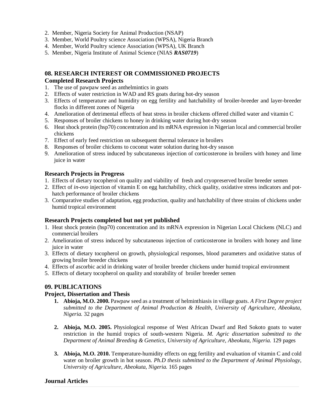- 2. Member, Nigeria Society for Animal Production (NSAP)
- 3. Member, World Poultry science Association (WPSA), Nigeria Branch
- 4. Member, World Poultry science Association (WPSA), UK Branch
- 5. Member, Nigeria Institute of Animal Science (NIAS *RAS0719*)

#### **08. RESEARCH INTEREST OR COMMISSIONED PROJECTS**

#### **Completed Research Projects**

- 1. The use of pawpaw seed as anthelmintics in goats
- 2. Effects of water restriction in WAD and RS goats during hot-dry season
- 3. Effects of temperature and humidity on egg fertility and hatchability of broiler-breeder and layer-breeder flocks in different zones of Nigeria
- 4. Amelioration of detrimental effects of heat stress in broiler chickens offered chilled water and vitamin C
- 5. Responses of broiler chickens to honey in drinking water during hot-dry season
- 6. Heat shock protein (hsp70) concentration and its mRNA expression in Nigerian local and commercial broiler chickens
- 7. Effect of early feed restriction on subsequent thermal tolerance in broilers
- 8. Responses of broiler chickens to coconut water solution during hot-dry season
- 9. Amelioration of stress induced by subcutaneous injection of corticosterone in broilers with honey and lime juice in water

## **Research Projects in Progress**

- 1. Effects of dietary tocopherol on quality and viability of fresh and cryopreserved broiler breeder semen
- 2. Effect of *in-ovo* injection of vitamin E on egg hatchability, chick quality, oxidative stress indicators and pothatch performance of broiler chickens
- 3. Comparative studies of adaptation, egg production, quality and hatchability of three strains of chickens under humid tropical environment

## **Research Projects completed but not yet published**

- 1. Heat shock protein (hsp70) concentration and its mRNA expression in Nigerian Local Chickens (NLC) and commercial broilers
- 2. Amelioration of stress induced by subcutaneous injection of corticosterone in broilers with honey and lime juice in water
- 3. Effects of dietary tocopherol on growth, physiological responses, blood parameters and oxidative status of growing broiler breeder chickens
- 4. Effects of ascorbic acid in drinking water of broiler breeder chickens under humid tropical environment
- 5. Effects of dietary tocopherol on quality and storability of broiler breeder semen

# **09. PUBLICATIONS**

## **Project, Dissertation and Thesis**

- **1. Abioja, M.O. 2000.** Pawpaw seed as a treatment of helminthiasis in village goats. *A First Degree project submitted to the Department of Animal Production & Health, University of Agriculture, Abeokuta, Nigeria.* 32 pages
- **2. Abioja, M.O. 2005.** Physiological response of West African Dwarf and Red Sokoto goats to water restriction in the humid tropics of south-western Nigeria. *M. Agric dissertation submitted to the Department of Animal Breeding & Genetics, University of Agriculture, Abeokuta, Nigeria.* 129 pages
- **3. Abioja, M.O. 2010.** Temperature-humidity effects on egg fertility and evaluation of vitamin C and cold water on broiler growth in hot season. *Ph.D thesis submitted to the Department of Animal Physiology, University of Agriculture, Abeokuta, Nigeria.* 165 pages

## **Journal Articles**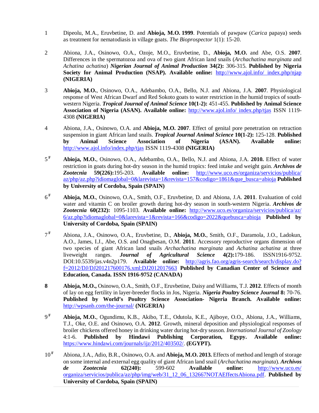- 1 Dipeolu, M.A., Eruvbetine, D. and **Abioja, M.O. 1999**. Potentials of pawpaw (*Carica* papaya) seeds as treatment for nematodiasis in village goats. *The Bioprospector* 1(1): 15-20.
- 2 Abiona, J.A., Osinowo, O.A., Ozoje, M.O., Eruvbetine, D., **Abioja, M.O.** and Abe, O.S. **2007**. Differences in the spermatozoa and ova of two giant African land snails (*Archachatina marginata* and *Achatina achatina*) *Nigerian Journal of Animal Production* **34(2):** 306-315. **Published by Nigeria Society for Animal Production (NSAP). Available online:** <http://www.ajol.info/> index.php/njap **(NIGERIA)**
- 3 **Abioja, M.O.**, Osinowo, O.A., Adebambo, O.A., Bello, N.J. and Abiona, J.A. **2007**. Physiological response of West African Dwarf and Red Sokoto goats to water restriction in the humid tropics of southwestern Nigeria. *Tropical Journal of Animal Science* **10(1-2):** 451-455. **Published by Animal Science Association of Nigeria (ASAN). Available online:** <http://www.ajol.info/> index.php/tjas ISSN 1119- 4308 **(NIGERIA)**
- 4 Abiona, J.A., Osinowo, O.A. and **Abioja, M.O. 2007**. Effect of genital pore penetration on retraction suspension in giant African land snails. *Tropical Journal Animal Science* **10(1-2):** 125-128. **Published by Animal Science Association of Nigeria (ASAN). Available online:**  <http://www.ajol.info/index.php/tjas> ISSN 1119-4308 **(NIGERIA)**
- $5<sup>F</sup>$ **<sup>F</sup> Abioja, M.O.**, Osinowo, O.A., Adebambo, O.A., Bello, N.J. and Abiona, J.A. **2010.** Effect of water restriction in goats during hot-dry season in the humid tropics: feed intake and weight gain. *Archivos de Zootecnia* **59(226):**195-203. **Available online:** <http://www.uco.es/organiza/servicios/publica/> az/php/az.php?idiomaglobal=0&larevista=1&revista=157&codigo=1861&que\_busca=abioja **Published by University of Cordoba, Spain (SPAIN)**
- $6<sup>F</sup>$ **<sup>F</sup> Abioja, M.O.**, Osinowo, O.A., Smith, O.F., Eruvbetine, D. and Abiona, J.A. **2011**. Evaluation of cold water and vitamin C on broiler growth during hot-dry season in south-western Nigeria. *Archivos de Zootecnia* **60(232):** 1095-1103. **Available online:** <http://www.uco.es/organiza/servicios/publica/az/> 6/az.php?idiomaglobal=0&larevista=1&revista=166&codigo=2022&quebusca=abioja **Published by University of Cordoba, Spain (SPAIN)**
- $7<sup>F</sup>$ **<sup>F</sup>** Abiona, J.A., Osinowo, O.A., Eruvbetine, D., **Abioja, M.O.**, Smith, O.F., Daramola, J.O., Ladokun, A.O., James, I.J., Abe, O.S. and Onagbesan, O.M. **2011**. Accessory reproductive organs dimension of two species of giant African land snails *Archachatina marginata* and *Achatina achatina* at three liveweight ranges. *Journal of Agricultural Science* **4(2):**179-186. ISSN1916-9752. DOI:10.5539/jas.v4n2p179. **Available online:** <http://agris.fao.org/agris-search/search/display.do?> f=2012/DJ/DJ201217600176.xml;DJ2012017663 **Published by Canadian Center of Science and Education, Canada. ISSN 1916-9752 (CANADA)**
- **8 Abioja, M.O.,** Osinowo, O.A., Smith, O.F., Eruvbetine, Daisy and Williams, T.J. **2012**. Effects of month of lay on egg fertility in layer-breeder flocks in Jos, Nigeria. *Nigeria Poultry Science Journal* **8:** 70-76. **Published by World's Poultry Science Association- Nigeria Branch. Available online:** <http://wpsanb.com/the-journal/> **(NIGERIA)**
- $\mathbf{q}$  F **<sup>F</sup> Abioja, M.O.**, Ogundimu, K.B., Akibo, T.E., Odutola, K.E., Ajiboye, O.O., Abiona, J.A., Williams, T.J., Oke, O.E. and Osinowo, O.A. **2012**. Growth, mineral deposition and physiological responses of broiler chickens offered honey in drinking water during hot-dry season. *International Journal of Zoology* 4:1-6. **Published by Hindawi Publishing Corporation, Egypy. Available online:**  <https://www.hindawi.com/journals/ijz/2012/403502/.> **(EGYPT).**
- 10 **<sup>F</sup>** Abiona, J.A., Adio, B.R., Osinowo, O.A. and **Abioja, M.O. 2013.** Effects of method and length of storage on some internal and external egg quality of giant African land snail (*Archachatina marginata*). *Archivos de Zootecnia* **62(240):** 599-602 **Available online:** <http://www.uco.es/> organiza/servicios/publica/az/php/img/web/31\_12\_06\_132667NOTAEffectsAbiona.pdf. **Published by University of Cordoba, Spain (SPAIN)**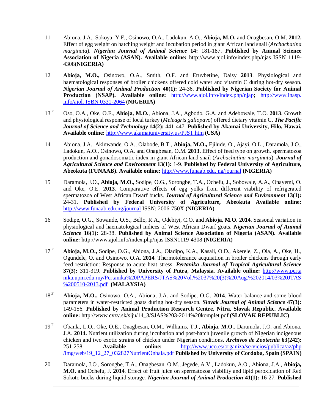- 11 Abiona, J.A., Sokoya, Y.F., Osinowo, O.A., Ladokun, A.O., **Abioja, M.O.** and Onagbesan, O.M. **2012.**  Effect of egg weight on hatching weight and incubation period in giant African land snail (*Archachatina marginata*). *Nigerian Journal of Animal Science* **14:** 181-187. **Published by Animal Science Association of Nigeria (ASAN). Available online:** <http://www.ajol.info/index.php/njas> ISSN 1119- 4308**(NIGERIA)**
- 12 **Abioja, M.O.,** Osinowo, O.A., Smith, O.F. and Eruvbetine, Daisy **2013**. Physiological and haematological responses of broiler chickens offered cold water and vitamin C during hot-dry season. *Nigerian Journal of Animal Production* **40(1):** 24-36. **Published by Nigerian Society for Animal**  Production (NSAP). Available online: <http://www.ajol.info/index.php/njap;> http://www.inasp. info/ajol. ISBN 0331-2064 **(NIGERIA)**
- $13<sup>F</sup>$ **<sup>F</sup>** Oso, O.A., Oke, O.E., **Abioja, M.O.**, Abiona, J.A., Agbodo, G.A. and Adebowale, T.O. **2013**. Growth and physiological response of local turkey (*Meleagris gallopavo*) offered dietary vitamin C. *The Pacific Journal of Science and Technology* **14(2):** 441-447. **Published by Akamai University, Hilo, Hawai. Available online:** <http://www.akamaiuniversity.us/PJST.htm> **(USA)**
- 14 Abiona, J.A., Akinwande, O.A., Olabode, B.T., **Abioja, M.O.,** Ejilude, O., Ajayi, O.L., Daramola, J.O., Ladokun, A.O., Osinowo, O.A. and Onagbesan, O.M. **2013.** Effect of feed type on growth, spermatozoa production and gonadosomatic index in giant African land snail (*Archachatina marginata*). *Journal of Agricultural Science and Environment* **13(1):** 1-9. **Published by Federal University of Agriculture, Abeokuta (FUNAAB). Available online:** <http://www.funaab.edu.> ng/journal **(NIGERIA)**
- 15 Daramola, J.O., **Abioja, M.O.,** Sodipe, O.G., Sorongbe, T.A., Ochefu, J., Sobowale, A.A., Onayemi, O. and Oke, O.E. **2013**. Comparative effects of egg yolks from different viability of refrigerated spermatozoa of West African Dwarf bucks. *Journal of Agricultural Science and Environment* **13(1):** 24-31. **Published by Federal University of Agriculture, Abeokuta Available online:** <http://www.funaab.edu.ng/journal> ISSN: 2006-750X **(NIGERIA)**
- 16 Sodipe, O.G., Sowande, O.S., Bello, R.A., Odebiyi, C.O. and **Abioja, M.O. 2014.** Seasonal variation in physiological and haematological indices of West African Dwarf goats. *Nigerian Journal of Animal Science* **16(1):** 28-38. **Published by Animal Science Association of Nigeria (ASAN). Available online:** <http://www.ajol.info/index.php/njas> ISSN1119-4308 **(NIGERIA)**
- $17<sup>F</sup>$ **<sup>F</sup> Abioja, M.O.,** Sodipe, O.G., Abiona, J.A., Oladipo, K.A., Kasali, O.D., Akerele, Z., Ola, A., Oke, H., Ogundele, O. and Osinowo, O.A. **2014**. Thermotolerance acquisition in broiler chickens through early feed restriction: Response to acute heat stress. *Pertanika Journal of Tropical Agricultural Science* **37(3):** 311-319. **Published by University of Putra, Malaysia. Available online:** <http://www.perta> nika.upm.edu.my/Pertanika%20PAPERS/JTAS%20Vol.%2037%20(3)%20Aug.%202014/03%20JTAS %200510-2013.pdf **(MALAYSIA)**
- $18<sup>F</sup>$ **<sup>F</sup> Abioja, M.O.,** Osinowo, O.A., Abiona, J.A. and Sodipe, O.G. **2014**. Water balance and some blood parameters in water-restricted goats during hot-dry season. *Slovak Journal of Animal Science* **47(3):** 149-156. **Published by Animal Production Research Centre, Nitra, Slovak Republic. Available online:** [http://www.cvzv.sk/slju/14\\_3/SJAS%203-2014%20komplet.pdf](http://www.cvzv.sk/slju/14_3/SJAS%203-2014%20komplet.pdf) **(SLOVAK REPUBLIC)**
- $19<sup>F</sup>$ **<sup>F</sup>** Obanla, L.O., Oke, O.E., Onagbesan, O.M., Williams, T.J., **Abioja, M.O.,** Daramola, J.O. and Abiona, J.A. **2014.** Nutrient utilization during incubation and post-hatch juvenile growth of Nigerian indigenous chicken and two exotic strains of chicken under Nigerian conditions. *Archivos de Zootecnia* **63(242):** 251-258. **Available online:** <http://www.uco.es/organiza/servicios/publica/az/php> /img/web/19\_12\_27\_032827NutrientOnbala.pdf **Published by University of Cordoba, Spain (SPAIN)**
- 20 Daramola, J.O., Sorongbe, T.A., Onagbesan, O.M., Jegede, A.V., Ladokun, A.O., Abiona, J.A., **Abioja, M.O.** and Ochefu, J. **2014**. Effect of fruit juice on spermatozoa viability and lipid peroxidation of Red Sokoto bucks during liquid storage. *Nigerian Journal of Animal Production* **41(1):** 16-27. **Published**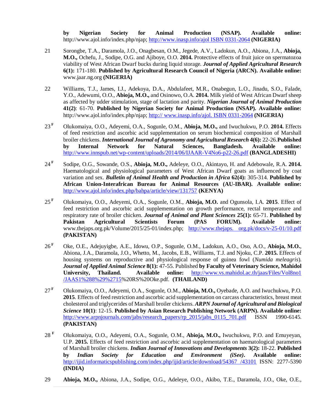**by Nigerian Society for Animal Production (NSAP). Available online:** <http://www.ajol.info/index.php/njap;><http://www.inasp.info/ajol>ISBN 0331-2064 **(NIGERIA)**

- 21 Sorongbe, T.A., Daramola, J.O., Onagbesan, O.M., Jegede, A.V., Ladokun, A.O., Abiona, J.A., **Abioja, M.O.,** Ochefu, J., Sodipe, O.G. and Ajiboye, O.O. **2014.** Protective effects of fruit juice on spermatozoa viability of West African Dwarf bucks during liquid storage. *Journal of Applied Agricultural Research* **6(1):** 171-180. **Published by Agricultural Research Council of Nigeria (ARCN). Available online:** [www.jaar.ng.org](http://www.jaar.ng.org) **(NIGERIA)**
- 22 Williams, T.J., James, I.J., Adekoya, D.A., Abdulafeet, M.R., Onabegun, L.O., Jinadu, S.O., Falade, Y.O., Adewumi, O.O., **Abioja, M.O.,** and Osinowo, O.A. **2014.** Milk yield of West African Dwarf sheep as affected by udder stimulation, stage of lactation and parity. *Nigerian Journal of Animal Production*  **41(2)**: 61-70. **Published by Nigerian Society for Animal Production (NSAP). Available online:** <http://www.ajol.info/index.php/njap;>http:// [www.inasp.info/ajol.](http://www.inasp.info/ajol.) ISBN 0331-2064 **(NIGERIA)**
- $23^{\mathrm{F}}$ **<sup>F</sup>** Olukomaiya, O.O., Adeyemi, O.A., Sogunle, O.M., **Abioja, M.O.,** and Iwuchukwu, P.O. **2014.** Effects of feed restriction and ascorbic acid supplementation on serum biochemical composition of Marshall broiler chickens. *International Journal of Agronomy and Agricultural Research* **4(6):** 22-26.**Published by Internal Network for Natural Sciences, Bangladesh. Available online:**  <http://www.innspub.net/wp-content/uploads/2014/06/IJAAR-V4No6-p22-26.pdf> **(BANGLADESHI)**
- 24 **F** Sodipe, O.G., Sowande, O.S., **Abioja, M.O.,** Adeleye, O.O., Akintayo, H. and Adebowale, R.A. **2014.**  Haematological and physiological parameters of West African Dwarf goats as influenced by coat variation and sex. *Bulletin of Animal Health and Production in Africa* **62(4):** 305-314. **Published by African Union-Interafrican Bureau for Animal Resources (AU-IBAR). Available online:**  <http://www.ajol.info/index.php/bahpa/article/view/131757> **(KENYA)**
- $25^{\mathrm{F}}$ **<sup>F</sup>** Olukomaiya, O.O., Adeyemi, O.A., Sogunle, O.M., **Abioja, M.O.** and Ogunsola, I.A. **2015**. Effect of feed restriction and ascorbic acid supplementation on growth performance, rectal temperature and respiratory rate of broiler chicken. *Journal of Animal and Plant Sciences* **25(1):** 65-71. **Published by Pakistan Agricultural Scientists Forum (PAS FORUM). Available online:** [www.thejaps.org.pk/Volume/2015/25-01/index.php;](http://www.thejaps.org.pk/Volume/2015/25-01/index.php;) <http://www.thejaps.> org.pk/docs/v-25-01/10.pdf **(PAKISTAN)**
- $26^{\mathrm{F}}$ **<sup>F</sup>** Oke, O.E., Adejuyigbe, A.E., Idowu, O.P., Sogunle, O.M., Ladokun, A.O., Oso, A.O., **Abioja, M.O.**, Abiona, J.A., Daramola, J.O., Whetto, M., Jacobs, E.B., Williams, T.J. and Njoku, C.P. **2015.** Effects of housing systems on reproductive and physiological response of guinea fowl (*Numida meleagris*). *Journal of Applied Animal Science* **8(1):** 47-55. Published **by Faculty of Veterinary Science, Mahidol University, Thailand. Available online:** <http://www.vs.mahidol.ac.th/jaas/Files/Vol8no1> /JAAS1%288%29%2715%20RS%20Oke.pdf. **(THAILAND)**
- $27^{\mathrm{F}}$ **<sup>F</sup>** Olukomaiya, O.O., Adeyemi, O.A., Sogunle, O.M., **Abioja, M.O.,** Oyebade, A.O. and Iwuchukwu, P.O. **2015**. Effects of feed restriction and ascorbic acid supplementation on carcass characteristics, breast meat cholesterol and triglycerides of Marshall broiler chickens. *ARPN Journal of Agricultural and Biological Science* **10(1)**: 12-15. **Published by Asian Research Publishing Network (ARPN). Available online:** [http://www.arpnjournals.com/jabs/research\\_papers/rp\\_2015/jabs\\_0115\\_701.pdf](http://www.arpnjournals.com/jabs/research_papers/rp_2015/jabs_0115_701.pdf) ISSN 1990-6145. **(PAKISTAN)**
- $28 F$ **<sup>F</sup>** Olukomaiya, O.O., Adeyemi, O.A., Sogunle, O.M., **Abioja, M.O.,** Iwuchukwu, P.O. and Emuyeyan, U.P. **2015.** Effects of feed restriction and ascorbic acid supplementation on haematological parameters of Marshall broiler chickens. *Indian Journal of Innovations and Developments* **3(2):** 18-22. **Published by** *Indian Society for Education and Environment (iSee)***. Available online:** <http://ijid.informaticspublishing.com/index.php/ijid/article/download/54367> /43101 ISSN: 2277-5390 **(INDIA)**
- 29 **Abioja, M.O.,** Abiona, J.A., Sodipe, O.G., Adeleye, O.O., Akibo, T.E., Daramola, J.O., Oke, O.E.,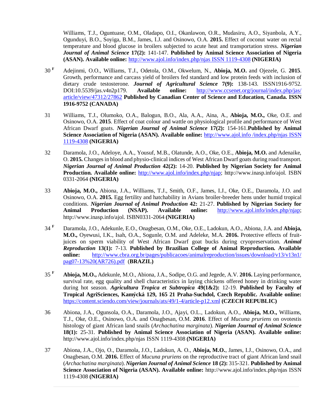Williams, T.J., Oguntuase, O.M., Oladapo, O.I., Okanlawon, O.R., Mudasiru, A.O., Siyanbola, A.Y., Ogunduyi, B.O., Soyiga, B.M., James, I.J. and Osinowo, O.A. **2015.** Effect of coconut water on rectal temperature and blood glucose in broilers subjected to acute heat and transportation stress. *Nigerian Journal of Animal Science* **17(2):** 141-147. **Published by Animal Science Association of Nigeria (ASAN). Available online:** <http://www.ajol.info/index.php/njas>ISSN 1119-4308 **(NIGERIA)**

- 30 **<sup>F</sup>** Adejinmi, O.O., Williams, T.J., Odetola, O.M., Okwelum, N., **Abioja, M.O.** and Ojezele, G. **2015**. Growth, performance and carcass yield of broilers fed standard and low protein feeds with inclusion of dietary crude testosterone. *Journal of Agricultural Science* **7(9):** 138-143. ISSN1916-9752. DOI:10.5539/jas.v4n2p179. **Available online:** <http://www.ccsenet.org/journal/index.php/jas/> article/view/47312/27862 **Published by Canadian Center of Science and Education, Canada. ISSN 1916-9752 (CANADA)**
- 31 Williams, T.J., Olumoko, O.A., Balogun, B.O., Ala, A.A., Aina, A., **Abioja, M.O.,** Oke, O.E. and Osinowo, O.A. **2015**. Effect of coat colour and wattle on physiological profile and performance of West African Dwarf goats. *Nigerian Journal of Animal Science* **17(2):** 154-161.**Published by Animal Science Association of Nigeria (ASAN). Available online:** <http://www.ajol.info>/index.php/njas ISSN 1119-4308 **(NIGERIA)**
- 32 Daramola, J.O., Adeloye, A.A., Yousuf, M.B., Olatunde, A.O., Oke, O.E., **Abioja, M.O.** and Adenaike, O. **2015.** Changes in blood and physio-clinical indices of West African Dwarf goats during road transport. *Nigerian Journal of Animal Production* **42(2):** 14-20. **Published by Nigerian Society for Animal Production. Available online:** <http://www.ajol.info/index.php/njap;> <http://www.inasp.info/ajol.>ISBN 0331-2064 **(NIGERIA)**
- 33 **Abioja, M.O.,** Abiona, J.A., Williams, T.J., Smith, O.F., James, I.J., Oke, O.E., Daramola, J.O. and Osinowo, O.A. **2015.** Egg fertility and hatchability in Avians broiler-breeder hens under humid tropical conditions. *Nigerian Journal of Animal Production* **42:** 21-27. **Published by Nigerian Society for Animal Production (NSAP). Available online:** <http://www.ajol.info/index.php/njap;> <http://www.inasp.info/ajol.> ISBN0331-2064 **(NIGERIA)**
- $34$ <sup>F</sup> **<sup>F</sup>** Daramola, J.O., Adekunle, E.O., Onagbesan, O.M., Oke, O.E., Ladokun, A.O., Abiona, J.A. and **Abioja, M.O.,** Oyewusi, I.K., Isah, O.A., Sogunle, O.M. and Adeleke, M.A. **2016.** Protective effects of fruitjuices on sperm viability of West African Dwarf goat bucks during cryopreservation. *Animal Reproduction* **13(1):** 7-13. **Published by Brazilian College of Animal Reproduction. Available online:** <http://www.cbra.org.br/pages/publicacoes/animalreproduction/issues/download/v13/v13n1/> pag07-13%20(AR726).pdf (**BRAZIL)**
- $35 F$ **<sup>F</sup> Abioja, M.O.,** Adekunle, M.O., Abiona, J.A., Sodipe, O.G. and Jegede, A.V. **2016.** Laying performance, survival rate, egg quality and shell characteristics in laying chickens offered honey in drinking water during hot season. *Agricultura Tropica et Subtropica* **49(1&2):** 12-19. **Published by Faculty of Tropical AgriSciences, Kamýcká 129, 165 21 Praha-Suchdol, Czech Republic. Available online:**  <https://content.sciendo.com/view/journals/ats/49/1-4/article-p12.xml> **(CZECH REPUBLIC)**
- 36 Abiona, J.A., Ogunsola, O.A., Daramola, J.O., Ajayi, O.L., Ladokun, A.O., **Abioja, M.O.,** Williams, T.J., Oke, O.E., Osinowo, O.A. and Onagbesan, O.M. **2016**. Effect of *Mucuna pruriens* on ovotestis histology of giant African land snails (*Archachatina marginata*). *Nigerian Journal of Animal Science* **18(1):** 25-31. **Published by Animal Science Association of Nigeria (ASAN). Available online:**  <http://www.ajol.info/index.php/njas>ISSN 1119-4308 **(NIGERIA)**
- 37 Abiona, J.A., Ojo, O., Daramola, J.O., Ladokun, A. O., **Abioja, M.O.**, James, I.J., Osinowo, O.A., and Onagbesan, O.M. **2016.** Effect of *Mucuna pruriens* on the reproductive tract of giant African land snail (*Archachatina marginata*). *Nigerian Journal of Animal Science* **18 (2):** 315-321. **Published by Animal Science Association of Nigeria (ASAN). Available online:** <http://www.ajol.info/index.php/njas>ISSN 1119-4308 **(NIGERIA)**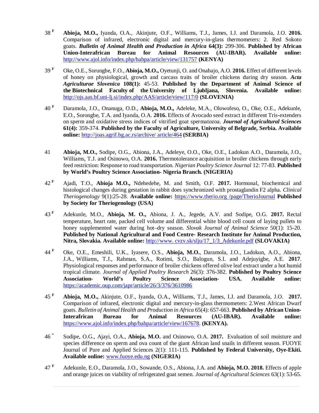- $38 F$ **<sup>F</sup> Abioja, M.O.,** Iyanda, O.A., Akinjute, O.F., Williams, T.J., James, I.J. and Daramola, J.O. **2016.**  Comparison of infrared, electronic digital and mercury-in-glass thermometers: 2. Red Sokoto goats. *Bulletin of Animal Health and Production in Africa* **64(3):** 299-306. **Published by African Union-Interafrican Bureau for Animal Resources (AU-IBAR). Available online:**  <http://www.ajol.info/index.php/bahpa/article/view/131757> **(KENYA)**
- $39<sup>F</sup>$ **<sup>F</sup>** Oke, O.E., Sorungbe, F.O., **Abioja, M.O.,** Oyetunji, O. and Onabajo, A.O. **2016.** Effect of different levels of honey on physiological, growth and carcass traits of broiler chickens during dry season. *Acta Agriculturae Slovenica* **108(1):** 45-53. **Published by the Department of Animal Science of the Biotechnical Faculty of the University of Ljubljana, Slovenia. Available online:**  <http://ojs.aas.bf.uni-lj.si/index.php/AAS/article/view/117/0> **(SLOVENIA)**
- 40 **<sup>F</sup>** Daramola, J.O., Onanuga, O.D., **Abioja, M.O.,** Adeleke, M.A., Olowofeso, O., Oke, O.E., Adekunle, E.O., Sorongbe, T.A. and Iyanda, O.A. **2016.** Effects of Avocado seed extract in different Tris-extenders on sperm and oxidative stress indices of vitrified goat spermatozoa. *Journal of Agricultural Sciences* **61(4):** 359-374. **Published by the Faculty of Agriculture, University of Belgrade, Serbia. Available online:** <http://joas.agrif.bg.ac.rs/archive/> article/464 **(SERBIA)**
- 41 **Abioja, M.O.,** Sodipe, O.G., Abiona, J.A., Adeleye, O.O., Oke, O.E., Ladokun A.O., Daramola, J.O., Williams, T.J. and Osinowo, O.A. **2016.** Thermotolerance acquisition in broiler chickens through early feed restriction: Response to road transportation. *Nigerian Poultry Science Journal* 12: 77-83. **Published by World's Poultry Science Association- Nigeria Branch. (NIGERIA)**
- $42 F$ **<sup>F</sup>** Ajadi, T.O., **Abioja M.O.,** Ndehedehe, M. and Smith, O.F. **2017.** Hormonal, biochemical and histological changes during gestation in rabbit does synchronized with prostaglandin F2 alpha. *Clinical Theriogenology* 9(1):25-28. **Available online:** <https://www.therio.org>/page/TherioJournal **Published by Society for Theriogenology (USA)**
- $43^{\mathrm{F}}$ **<sup>F</sup>** Adekunle, M.O., **Abioja, M. O.,** Abiona, J. A., Jegede, A.V. and Sodipe, O.G. **2017.** Rectal temperature, heart rate, packed cell volume and differential white blood cell count of laying pullets to honey supplemented water during hot–dry season. *Slovak Journal of Animal Science* 50(1): 15-20. **Published by National Agricultural and Food Centre- Research Institute for Animal Production, Nitra, Slovakia. Available online:** <http://www.> cvzv.sk/slju/17\_1/3\_Adekunle.pdf **(SLOVAKIA)**
- $44$ <sup>F</sup> **<sup>F</sup>** Oke, O.E., Emeshili, U.K., Iyasere, O.S., **Abioja, M.O.**, Daramola, J.O., Ladokun, A.O., Abiona, J.A., Williams, T.J., Rahman, S.A., Rotimi, S.O., Balogun, S.I. and Adejuyigbe, A.E. **2017**. Physiological responses and performance of broiler chickens offered olive leaf extract under a hot humid tropical climate. *Journal of Applied Poultry Research* 26(3): 376-382. **Published by Poultry Science Association- World's Poultry Science Association- USA. Available online:**  <https://academic.oup.com/japr/article/26/3/376/3610986>
- $45 F$ **<sup>F</sup> Abioja, M.O.,** Akinjute, O.F., Iyanda, O.A., Williams, T.J., James, I.J. and Daramola, J.O. **2017.**  Comparison of infrared, electronic digital and mercury-in-glass thermometers: 2.West African Dwarf goats. *Bulletin of Animal Health and Production in Africa* 65(4): 657-663. **Published by African Union-Interafrican Bureau for Animal Resources (AU-IBAR). Available online:** <https://www.ajol.info/index.php/bahpa/article/view/167678>. **(KENYA).**
- 46 \* Sodipe, O.G., Ajayi, O.A., **Abioja, M.O.** and Osinowo, O.A. **2017.** Evaluation of soil moisture and species difference on sperm and ova count of the giant African land snails in different season. FUOYE Journal of Pure and Applied Sciences 2(1): 111-115. **Published by Federal University, Oye-Ekiti. Available online:** [www.fuoye.edu.ng](http://www.fuoye.edu.ng) **(NIGERIA)**
- $47 F$ **<sup>F</sup>** Adekunle, E.O., Daramola, J.O., Sowande, O.S., Abiona, J.A. and **Abioja, M.O. 2018.** Effects of apple and orange juices on viability of refrigerated goat semen. *Journal of Agricultural Sciences* 63(1): 53-65.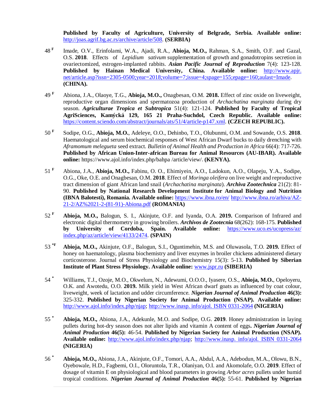**Published by Faculty of Agriculture, University of Belgrade, Serbia. Available online:** <http://joas.agrif.bg.ac.rs/archive/article/508.> **(SERBIA)**

- 48 **F** Imade, O.V., Erinfolami, W.A., Ajadi, R.A., **Abioja, M.O.,** Rahman, S.A., Smith, O.F. and Gazal, O.S. **2018**. Effects of *Lepidium sativum* supplementation of growth and gonadotropins secretion in ovariectomized, estrogen-implanted rabbits. *Asian Pacific Journal of Reproduction* 7(4): 123-128. **Published by Hainan Medical University, China. Available online:** <http://www.apjr.> net/article.asp?issn=2305-0500;year=2018;volume=7;issue=4;spage=155;epage=160;aulast=Imade. **(CHINA).**
- $49 F$ **<sup>F</sup>** Abiona, J.A., Olaoye, T.G., **Abioja, M.O.,** Onagbesan, O.M. **2018.** Effect of zinc oxide on liveweight, reproductive organ dimensions and spermatozoa production of *Archachatina marginata* during dry season. *Agriculturae Tropica et Subtropica* 51(4): 121-124. **Published by Faculty of Tropical AgriSciences, Kamýcká 129, 165 21 Praha-Suchdol, Czech Republic. Available online:** <https://content.sciendo.com/abstract/journals/ats/51/4/article-p147.xml.>**(CZECH REPUBLIC).**
- 50 **<sup>F</sup>** Sodipe, O.G., **Abioja, M.O.**, Adeleye, O.O., Dehinbo, T.O., Olubunmi, O.M. and Sowande, O.S. **2018**. Haematological and serum biochemical responses of West African Dwarf bucks to daily drenching with *Aframomum melegueta* seed extract. *Bulletin of Animal Health and Production in Africa* 66(4): 717-726. **Published by African Union-Inter-african Bureau for Animal Resources (AU-IBAR). Available online:** <https://www.ajol.info/index.php/bahpa> /article/view/. **(KENYA).**
- $51$ <sup>F</sup> **<sup>F</sup>** Abiona, J.A., **Abioja, M.O.,** Fabinu, O. O., Ehimiyein, A.O., Ladokun, A.O., Olapeju, Y.A., Sodipe, O.G., Oke, O.E. and Onagbesan, O.M. **2018**. Effect of *Moringa oleifera* on live weight and reproductive tract dimension of giant African land snail (*Archachatina marginata*). *Archiva Zootechnica* 21(2): 81- 90. **Published by National Research Development Institute for Animal Biology and Nutrition (IBNA Balotesti), Romania. Available online:** <https://www.ibna.ro/en/> <http://www.ibna.ro/arhiva/AZ->21-2/AZ%2021-2-(81-91)-Abiona.pdf **(ROMANIA)**
- $52$ <sup>F</sup> **<sup>F</sup> Abioja, M.O.,** Balogun, S. I., Akinjute, O.F. and Iyanda, O.A. **2019.** Comparison of Infrared and electronic digital thermometry in growing broilers. *Archivos de Zootecnia* 68(262): 168-175. **Published by University of Cordoba, Spain. Available online:** <https://www.uco.es/ucopress/az/> index.php/az/article/view/4133/2474. **(SPAIN)**
- $53$ <sup>\*F</sup> **\*F Abioja, M.O.,** Akinjute, O.F., Balogun, S.I., Oguntimehin, M.S. and Oluwasola, T.O. **2019.** Effect of honey on haematology, plasma biochemistry and liver enzymes in broiler chickens administered dietary corticosterone. Journal of Stress Physiology and Biochemistry 15(3): 5-13. **Published by Siberian Institute of Plant Stress Physiology. Available online:** [www.jspr.ru](http://www.jspr.ru) **(SIBERIA)**
- 54 **\*** Williams, T.J., Ozoje, M.O., Okwelum, N., Adewumi, O.O.O., Iyasere, O.S., **Abioja, M.O.**, Opeloyeru, O.K. and Awotedu, O.O. **2019.** Milk yield in West African dwarf goats as influenced by coat colour, liveweight, week of lactation and udder circumference. *Nigerian Journal of Animal Production* **46(3):**  325-332. **Published by Nigerian Society for Animal Production (NSAP). Available online:**  <http://www.ajol.info/index.php/njap;><http://www.inasp.>info/ajol. ISBN 0331-2064 **(NIGERIA)**
- $55^*$ **\* Abioja, M.O.,** Abiona, J.A., Adekunle, M.O. and Sodipe, O.G. **2019**. Honey administration in laying pullets during hot-dry season does not alter lipids and vitamin A content of eggs**.** *Nigerian Journal of Animal Production* **46(5):** 46-54. **Published by Nigerian Society for Animal Production (NSAP). Available online:** <http://www.ajol.info/index.php/njap;> <http://www.inasp.> info/ajol. ISBN 0331-2064 **(NIGERIA)**
- 56 $*$ **\* Abioja, M.O.,** Abiona, J.A., Akinjute, O.F., Tomori, A.A., Abdul, A.A., Adebodun, M.A., Olowu, B.N., Oyebowale, H.D., Fagbemi, O.I., Oloruntola, T.R., Olaniyan, O.I. and Akomolafe, O.O. **2019**. Effect of dosage of vitamin E on physiological and blood parameters in growing *Arbor acres* pullets under humid tropical conditions. *Nigerian Journal of Animal Production* **46(5):** 55-61. **Published by Nigerian**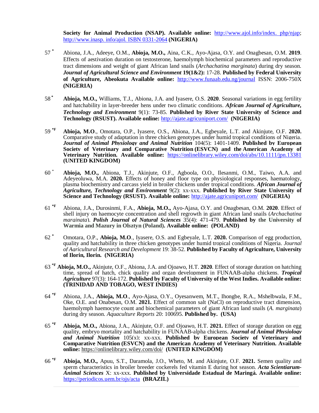**Society for Animal Production (NSAP). Available online:** <http://www.ajol.info/index.> php/njap; <http://www.inasp.> info/ajol. ISBN 0331-2064 **(NIGERIA)**

- 57 **\*** Abiona, J.A., Adeeye, O.M., **Abioja, M.O.,** Aina, C.K., Ayo-Ajasa, O.Y. and Onagbesan, O.M. **2019**. Effects of aestivation duration on testosterone, haemolymph biochemical parameters and reproductive tract dimensions and weight of giant African land snails (*Archachatina marginata*) during dry season. *Journal of Agricultural Science and Environment* **19(1&2):** 17-28. **Published by Federal University of Agriculture, Abeokuta Available online:** <http://www.funaab.edu.ng/journal> ISSN: 2006-750X **(NIGERIA)**
- 58 **\* Abioja, M.O.,** Williams, T.J., Abiona, J.A. and Iyasere, O.S. **2020**. Seasonal variations in egg fertility and hatchability in layer-breeder hens under two climatic conditions. *African Journal of Agriculture, Technology and Environment* 9(1): 73-85. **Published by River State University of Science and Technology (RSUST). Available online:** <http://ajate.agricuniport.com/> **(NIGERIA)**
- 59 \*F **\*F Abioja, M.O**., Omotara, O.P., Iyasere, O.S., Abiona, J.A., Egbeyale, L.T. and Akinjute, O.F. **2020.** Comparative study of adaptation in three chicken genotypes under humid tropical conditions of Nigeria. *Journal of Animal Physiology and Animal Nutrition* 104(5): 1401-1409. **Published by European Society of Veterinary and Comparative Nutrition (ESVCN) and the American Academy of Veterinary Nutrition. Available online:** <https://onlinelibrary.wiley.com/doi/abs/10.1111/jpn.13381> **(UNITED KINGDOM)**
- 60 \* **Abioja, M.O.,** Abiona, T.J., Akinjute, O.F., Agboola, O.O., Ilesanmi, O.M., Taiwo, A.A. and Adeyeoluwa, M.A. **2020.** Effects of honey and floor type on physiological responses, haematology, plasma biochemistry and carcass yield in broiler chickens under tropical conditions. *African Journal of Agriculture, Technology and Environment* 9(2): xx-xxx. **Published by River State University of Science and Technology (RSUST). Available online:** <http://ajate.agricuniport.com/> **(NIGERIA)**
- 61 **\*F** Abiona, J.A., Durosinmi, F.A., **Abioja, M.O.,** Ayo-Ajasa, O.Y. and Onagbesan, O.M. **2020**. Effect of shell injury on haemocyte concentration and shell regrowth in giant African land snails (*Archachatina marginata*). *Polish Journal of Natural Sciences* 35(4): 471-479. **Published by the University of Warmia and Mazury in Olsztyn (Poland). Available online: (POLAND)**
- 62 **\*** Omotara, O.P., **Abioja, M.O**., Iyasere, O.S. and Egbeyale, L.T. **2020.** Comparison of egg production, quality and hatchability in three chicken genotypes under humid tropical conditions of Nigeria. *Journal of Agricultural Research and Development* 19: 38-52. **Published by Faculty of Agriculture, University of Ilorin, Ilorin. (NIGERIA)**
- 63 **\*F Abioja, M.O.,** Akinjute, O.F., Abiona, J.A. and Ojoawo, H.T. **2020**. Effect of storage duration on hatching time, spread of hatch, chick quality and organ development in FUNAAB-alpha chickens. *Tropical Agriculture* 97(3): 164-172. **Published by Faculty of University of the West Indies. Available online: (TRINIDAD AND TOBAGO, WEST INDIES)**
- $64$ <sup>\*F</sup> **\*F** Abiona, J.A., **Abioja, M.O**., Ayo-Ajasa, O.Y., Oyesanwem, M.T., Ihongbe, R.A., Mshelbwala, F.M., Oke, O.E. and Onabesan, O.M. **2021.** Effect of common salt (NaCl) on reproductive tract dimension, haemolymph haemocyte count and biochemical parameters of giant African land snails (*A. marginata*) during dry season. *Aquaculture Reports* 20: 100695. **Published by. (USA)**
- $65~^{*F}$ **\*F Abioja, M.O.,** Abiona, J.A., Akinjute, O.F. and Ojoawo, H.T. **2021.** Effect of storage duration on egg quality, embryo mortality and hatchability in FUNAAB-alpha chickens. *Journal of Animal Physiology and Animal Nutrition* 105(x): xx-xxx. **Published by European Society of Veterinary and Comparative Nutrition (ESVCN) and the American Academy of Veterinary Nutrition. Available online:** <https://onlinelibrary.wiley.com/doi/>**(UNITED KINGDOM)**
- $66*F$ **\*F Abioja, M.O.,** Apuu, S.T., Daramola, J.O., Wheto, M. and Akinjute, O.F. **2021.** Semen quality and sperm characteristics in broiler breeder cockerels fed vitamin E during hot season. *Acta Scientiarum-Animal Sciences* X: xx-xxx. **Published by Universidade Estadual de Maringá. Available online:**  <https://periodicos.uem.br/ojs/acta>**(BRAZIL)**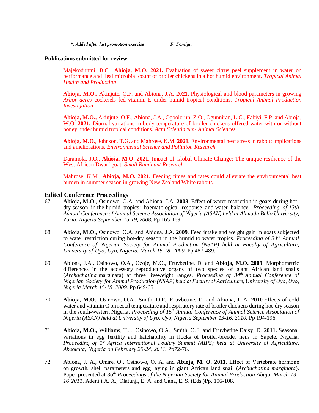#### **Publications submitted for review**

Majekodunmi, B.C., **Abioja, M.O. 2021.** Evaluation of sweet citrus peel supplement in water on performance and ileal microbial count of broiler chickens in a hot humid environment. *Tropical Animal Health and Production*

**Abioja, M.O.,** Akinjute, O.F. and Abiona, J.A. **2021.** Physiological and blood parameters in growing *Arbor acres* cockerels fed vitamin E under humid tropical conditions. *Tropical Animal Production Investigation*

**Abioja, M.O.,** Akinjute, O.F., Abiona, J.A., Ogoolorun, Z.O., Ogunniran, L.G., Fabiyi, F.P. and Abioja, W.O. **2021.** Diurnal variations in body temperature of broiler chickens offered water with or without honey under humid tropical conditions. *Acta Scientiarum- Animal Sciences*

**Abioja, M.O.**, Johnson, T.G. and Mahrose, K.M. **2021.** Environmental heat stress in rabbit: implications and ameliorations. *Environmental Science and Pollution Research*

Daramola, J.O., **Abioja, M.O. 2021.** Impact of Global Climate Change: The unique resilience of the West African Dwarf goat. *Small Ruminant Research*

Mahrose, K.M., **Abioja, M.O. 2021.** Feeding times and rates could alleviate the environmental heat burden in summer season in growing New Zealand White rabbits.

#### **Edited Conference Proceedings**

- 67 **Abioja, M.O.**, Osinowo, O.A. and Abiona, J.A. **2008**. Effect of water restriction in goats during hotdry season in the humid tropics: haematological response and water balance. *Proceeding of 13th Annual Conference of Animal Science Association of Nigeria (ASAN) held at Ahmadu Bello University, Zaria, Nigeria September 15-19, 2008.* Pp 165-169.
- 68 **Abioja, M.O.**, Osinowo, O.A. and Abiona, J.A. **2009***.* Feed intake and weight gain in goats subjected to water restriction during hot-dry season in the humid to water tropics. *Proceeding of 34th Annual Conference of Nigerian Society for Animal Production (NSAP) held at Faculty of Agriculture, University of Uyo, Uyo, Nigeria. March 15-18, 2009.* Pp 487-489.
- 69 Abiona, J.A., Osinowo, O.A., Ozoje, M.O., Eruvbetine, D. and **Abioja, M.O. 2009**. Morphometric differences in the accessory reproductive organs of two species of giant African land snails (*Archachatina* marginata) at three liveweight ranges. *Proceeding of 34th Annual Conference of Nigerian Society for Animal Production (NSAP) held at Faculty of Agriculture, University of Uyo, Uyo, Nigeria March 15-18, 2009.* Pp 649-651.
- 70 **Abioja, M.O.**, Osinowo, O.A., Smith, O.F., Eruvbetine, D. and Abiona, J. A. **2010***.*Effects of cold water and vitamin C on rectal temperature and respiratory rate of broiler chickens during hot-dry season in the south-western Nigeria. *Proceeding of 15th Annual Conference of Animal Science Association of Nigeria (ASAN) held at University of Uyo, Uyo, Nigeria September 13-16, 2010.* Pp 194-196.
- 71 **Abioja, M.O.,** Williams, T.J., Osinowo, O.A., Smith, O.F. and Eruvbetine Daisy, D. **2011.** Seasonal variations in egg fertility and hatchability in flocks of broiler-breeder hens in Sapele, Nigeria. *Proceeding of 1 st Africa International Poultry Summit (AIPS) held at University of Agriculture, Abeokuta, Nigeria on February 20-24, 2011.* Pp72-76.
- 72 Abiona, J. A., Omire, O., Osinowo, O. A. and **Abioja, M. O. 2011.** Effect of Vertebrate hormone on growth, shell parameters and egg laying in giant African land snail (*Archachatina marginata*). Paper presented at *36th Proceedings of the Nigerian Society for Animal Production Abuja, March 13– 16 2011*. Adeniji,A. A., Olatunji, E. A. and Gana, E. S. (Eds.)Pp. 106-108.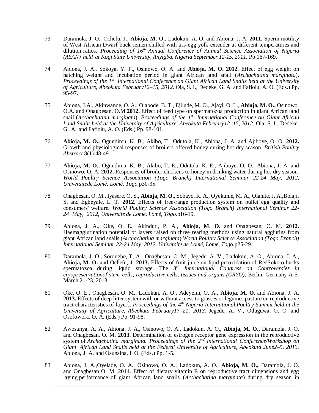- 73 Daramola, J. O., Ochefu, J., **Abioja, M. O.**, Ladokun, A. O. and Abiona, J. A. **2011.** Sperm motility of West African Dwarf buck semen chilled with tris-egg yolk extender at different temperatures and dilution ratios. *Proceeding of 16 th Annual Conference of Animal Science Association of Nigeria (ASAN) held at Kogi State University, Anyigba, Nigeria September 12-15, 2011.* Pp 167-169.
- 74 Abiona, J. A., Sokoya, Y. F., Osinowo, O. A. and **Abioja, M. O. 2012.** Effect of egg weight on hatching weight and incubation period in giant African land snail (*Archachatina marginata*). *Proceedings of the 1 st International Conference on Giant African Land Snails held at the University of Agriculture, Abeokuta February12–15, 2012.* Ola, S. I., Dedeke, G. A. and Fafiolu, A. O. (Eds.) Pp. 95-97.
- 75 Abiona, J.A., Akinwande, O. A., Olabode, B. T., Ejilude, M. O., Ajayi, O. L., **Abioja, M. O.,** Osinowo, O.A. and Onagbesan, O.M.**2012.** Effect of feed type on spermatozoa production in giant African land snail (*Archachatina marginata*). *Proceedings of the 1 st International Conference on Giant African Land Snails held at the University of Agriculture, Abeokuta February12–15, 2012.* Ola, S. I., Dedeke, G. A. and Fafiolu, A. O. (Eds.) Pp. 98-101.
- 76 **Abioja, M. O.,** Ogundimu, K. B., Akibo, T., Odutola, K., Abiona, J. A. and Ajiboye, O. O. **2012.** Growth and physiological responses of broilers offered honey during hot-dry season. *British Poultry Abstract* 8(1):48-49.
- 77 **Abioja, M. O.,** Ogundimu, K. B., Akibo, T. E., Odutola, K. E., Ajiboye, O. O., Abiona, J. A. and Osinowo, O. A. **2012.** Responses of broiler chickens to honey in drinking water during hot-dry season. *World Poultry Science Association (Togo Branch) International Seminar 22-24 May, 2012, Universitede Lomé, Lomé, Togo.*p30-35.
- 78 Onagbesan, O. M., Iyasere, O. S., **Abioja, M. O.**, Sobayo, R. A., Oyekunle, M. A., Olanite, J. A.,Bolaji, S. and Egbeyale, L. T. **2012.** Effects of free-range production system on pullet egg quality and consumers' welfare. *World Poultry Science Association (Togo Branch) International Seminar 22- 24 May, 2012, Universite de Lomé, Lomé, Togo.*p16-19.
- 79 Abiona, J. A., Oke, O. E., Akinduti, P. A., **Abioja, M. O.** and Onagbesan, O. M. **2012.** Haemagglutination potential of layers raised on three rearing methods using natural agglutins from giant African land snails (*Archachatina marginata*).*World Poultry Science Association (Togo Branch) International Seminar 22-24 May, 2012, Universite de Lomé, Lomé, Togo.*p25-29.
- 80 Daramola, J. O., Sorongbe, T, A., Onagbesan, O. M., Jegede, A. V., Ladokun, A. O., Abiona, J. A., **Abioja, M. O.** and Ochefu, J. **2013.** Effects of fruit-juice on lipid peroxidation of RedSokoto bucks spermatozoa during liquid storage. The 3 rd *International Congress on Controversies in cryopreservationof stem cells, reproductive cells, tissues and organs (CRYO)*, Berlin, Germany A-5. March 21-23, 2013.
- 81 Oke, O. E., Onagbesan, O. M., Ladokun, A. O., Adeyemi, O. A., **Abioja, M. O.** and Abiona, J. A. **2013.** Effects of deep litter system with or without access to grasses or legumes pasture on reproductive tract characteristics of layers. *Proceedings of the 4 th Nigeria International Poultry Summit held at the University of Agriculture, Abeokuta February17–21, 2013.* Jegede, A. V., Oduguwa, O. O. and Osofowora, O. A. (Eds.) Pp. 91-98.
- 82 Awosanya, A. A., Abiona, J. A., Osinowo, O. A., Ladokun, A. O., **Abioja, M. O.,** Daramola, J. O. and Onagbesan, O. M. **2013**. Determination of estrogen receptor gene expression in the reproductive system of *Archachatina marginata. Proceedings of the 2 nd International Conference/Workshop on Giant African Land Snails held at the Federal University of Agriculture, Abeokuta June2–5, 2013.* Abiona, J. A. and Osunsina, I. O. (Eds.) Pp. 1-5.
- 83 Abiona, J. A.,Oyelade, O. A., Osinowo, O. A., Ladokun, A. O., **Abioja, M. O.,** Daramola, J. O. and Onagbesan O. M. 2014. Effect of dietary vitamin E on reproductive tract dimensions and egg laying performance of giant African land snails (*Archachatina marginata*) during dry season in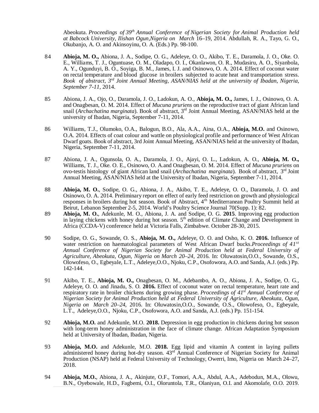Abeokuta. *Proceedings of 39 th Annual Conference of Nigerian Society for Animal Production held at Babcock University, Ilishan Ogun,Nigeria on March* 16–19, 2014. Abdullah, R. A., Tayo, G. O., Okubanjo, A. O. and Akinsoyinu, O. A. (Eds.) Pp. 98-100.

- 84 **Abioja, M. O.,** Abiona, J. A., Sodipe, O. G., Adeleye, O. O., Akibo, T. E., Daramola, J. O., Oke. O. E., Williams, T. J., Oguntuase, O. M., Oladapo, O. I., Okanlawon, O. R., Mudasiru, A. O., Siyanbola, A. Y., Ogunduyi, B. O., Soyiga, B. M., James, I. J. and Osinowo, O. A. 2014. Effect of coconut water on rectal temperature and blood glucose in broilers subjected to acute heat and transportation stress. *Book of abstract, 3 rd Joint Annual Meeting, ASAN/NIAS held at the university of Ibadan, Nigeria, September 7-11*, 2014.
- 85 Abiona, J. A., Ojo, O., Daramola, J. O., Ladokun, A. O., **Abioja, M. O.,** James, I. J., Osinowo, O. A. and Onagbesan, O. M. 2014. Effect of *Mucuna pruriens* on the reproductive tract of giant African land snail (*Archachatina marginata*). Book of abstract, 3 rd Joint Annual Meeting, ASAN/NIAS held at the university of Ibadan, Nigeria, September 7-11, 2014.
- 86 Williams, T.J., Olumoko, O.A., Balogun, B.O., Ala, A.A., Aina, O.A., **Abioja, M.O.** and Osinowo, O.A. 2014. Effects of coat colour and wattle on physiological profile and performance of West African Dwarf goats. Book of abstract, 3rd Joint Annual Meeting, ASAN/NIAS held at the university of Ibadan, Nigeria, September 7-11, 2014.
- 87 Abiona, J. A., Ogunsola, O. A., Daramola, J. O., Ajayi, O. L., Ladokun, A. O., **Abioja, M. O.,** Williams, T. J., Oke. O. E., Osinowo, O. A.and Onagbesan, O. M. 2014. Effect of *Mucuna pruriens* on ovo-testis histology of giant African land snail (Archachatina marginata). Book of abstract, 3<sup>rd</sup> Joint Annual Meeting, ASAN/NIAS held at the University of Ibadan, Nigeria, September 7-11, 2014.
- 88 **Abioja, M. O.**, Sodipe, O. G., Abiona, J. A., Akibo, T. E., Adeleye, O. O., Daramola, J. O. and Osinowo, O. A. 2014. Preliminary report on effect of early feed restriction on growth and physiological responses in broilers during hot season. Book of Abstract, 4<sup>th</sup> Mediterranean Poultry Summit held at Beirut, Lebanon September 2-5, 2014. World's Poultry Science Journal 70(Supp. 1): 82.
- 89 **Abioja, M. O.**, Adekunle, M. O., Abiona, J. A. and Sodipe, O. G. **2015**. Improving egg production in laying chickens with honey during hot season. 5<sup>th</sup> edition of Climate Change and Development in Africa (CCDA-V) conference held at Victoria Falls, Zimbabwe. October 28-30, 2015.
- 90 Sodipe, O. G., Sowande, O. S., **Abioja, M. O.,** Adeleye, O. O. and Osho, K. O. **2016.** Influence of water restriction on haematological parameters of West African Dwarf bucks.*Proceedings of 41st Annual Conference of Nigerian Society for Animal Production held at Federal University of Agriculture, Abeokuta, Ogun, Nigeria on March 20*–*24*, 2016. In: Oluwatosin,O.O., Sowande, O.S., Olowofeso, O., Egbeyale, L.T., Adeleye,O.O., Njoku, C.P., Osofowora, A.O. and Sanda, A.J. (eds.) Pp. 142-144.
- 91 Akibo, T. E., **Abioja, M. O.,** Onagbesan, O. M., Adebambo, A. O., Abiona, J. A., Sodipe, O. G., Adeleye, O. O. and Jinadu, S. O. **2016.** Effect of coconut water on rectal temperature, heart rate and respiratory rate in broiler chickens during growing phase. *Proceedings of 41 st Annual Conference of Nigerian Society for Animal Production held at Federal University of Agriculture, Abeokuta, Ogun, Nigeria on March 20*–*24*, 2016. In: Oluwatosin,O.O., Sowande, O.S., Olowofeso, O., Egbeyale, L.T., Adeleye,O.O., Njoku, C.P., Osofowora, A.O. and Sanda, A.J. (eds.) Pp. 151-154.
- 92 **Abioja, M.O.** and Adekunle, M.O. **2018.** Depression in egg production in chickens during hot season with long-term honey administration in the face of climate change. African Adaptation Symposium held at University of Ibadan, Ibadan, Nigeria.
- 93 **Abioja, M.O.** and Adekunle, M.O. **2018.** Egg lipid and vitamin A content in laying pullets administered honey during hot-dry season.  $43^{rd}$  Annual Conference of Nigerian Society for Animal Production (NSAP) held at Federal University of Technology, Owerri, Imo, Nigeria on March 24–27, 2018.
- 94 **Abioja, M.O.**, Abiona, J. A., Akinjute, O.F., Tomori, A.A., Abdul, A.A., Adebodun, M.A., Olowu, B.N., Oyebowale, H.D., Fagbemi, O.I., Oloruntola, T.R., Olaniyan, O.I. and Akomolafe, O.O. 2019.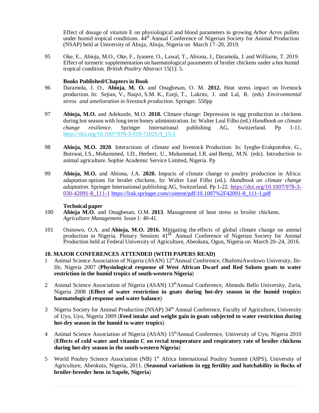Effect of dosage of vitamin E on physiological and blood parameters in growing *Arbor Acres* pullets under humid tropical conditions.  $44^{\text{th}}$  Annual Conference of Nigerian Society for Animal Production (NSAP) held at University of Abuja, Abuja, Nigeria on March 17–20, 2019.

95 Oke, E., Abioja, M.O., Oke, F., Iyasere, O., Lawal, T., Abiona, J., Daramola, J. and Williams, T. 2019. Effect of turmeric supplementation on haematological parameters of broiler chickens under a hot humid tropical condition. *British Poultry Abstract* 15(1): 5.

#### **Books Published/Chapters in Book**

- 96 Daramola, J. O., **Abioja, M. O.** and Onagbesan, O. M. **2012.** Heat stress impact on livestock production. In: Sejian, V., Naqvi, S.M. K., Ezeji, T., Lakritz, J. and Lal, R. (eds) *Environmental stress and amelioration in livestock production*. Springer. 550pp
- 97 **Abioja, M.O.** and Adekunle, M.O. **2018.** Climate change: Depression in egg production in chickens during hot season with long term honey administration. In: Walter Leal Filho (ed.) *Handbook on climate change resilience*. Springer International publishing AG, Switzerland. Pp 1-11. [https://doi.org/10.1007/978-3-319-71025-9\\_15-1](https://doi.org/10.1007/978-3-319-71025-9_15-1)
- 98 **Abioja, M.O. 2020**. Interactions of climate and livestock Production. In: Iyeghe-Erakpotobor, G., Butswat, I.S., Mohammed, I.D., Herbert, U., Muhammad, I.R. and Bemji, M.N. (eds). Introduction to animal agriculture. Sophie Academic Service Limited, Nigeria. Pp
- 99 **Abioja, M.O.** and Abiona, J.A. **2020.** Impacts of climate change to poultry production in Africa: adaptation options for broiler chickens. In: Walter Leal Filho (ed.). *Handbook on climate change adaptation*. Springer International publishing AG, Switzerland. Pp 1-22. <https://doi.org/10.1007/978-3-> 030-42091-8\_111-1 [https://link.springer.com/content/pdf/10.1007%2F42091-8\\_111-1.pdf](https://link.springer.com/content/pdf/10.1007%2F42091-8_111-1.pdf)

#### **Technical paper**

- 100 **Abioja M.O.** and Onagbesan, O.M. **2013**. Management of heat stress in broiler chickens. *Agriculture Management.* Issue 1: 40-41.
- 101 Osinowo, O.A. and **Abioja, M.O. 2016.** Mitigating the effects of global climate change on animal production in Nigeria. Plenary Session**:** 41 st Annual Conference of Nigerian Society for Animal Production held at Federal University of Agriculture, Abeokuta, Ogun, Nigeria on March 20–24, 2016.

#### **10. MAJOR CONFERENCES ATTENDED (WITH PAPERS READ)**

- 1 Animal Science Association of Nigeria (ASAN)  $12<sup>th</sup>$ Annual Conference, ObafemiAwolowo University, Ile-Ife, Nigeria 2007 (**Physiological response of West African Dwarf and Red Sokoto goats to water restriction in the humid tropics of south-western Nigeria**)
- 2 Animal Science Association of Nigeria (ASAN) 13<sup>th</sup>Annual Conference, Ahmadu Bello University, Zaria, Nigeria 2008 (**Effect of water restriction in goats during hot-dry season in the humid tropics: haematological response and water balance**)
- 3 Nigeria Society for Animal Production (NSAP) 34<sup>th</sup> Annual Conference, Faculty of Agriculture, University of Uyo, Uyo, Nigeria 2009 (**Feed intake and weight gain in goats subjected to water restriction during hot-dry season in the humid to water tropics**)
- 4 Animal Science Association of Nigeria (ASAN) 15<sup>th</sup>Annual Conference, University of Uyo, Nigeria 2010 (**Effects of cold water and vitamin C on rectal temperature and respiratory rate of broiler chickens during hot-dry season in the south-western Nigeria**)
- 5 World Poultry Science Association (NB) 1<sup>st</sup> Africa International Poultry Summit (AIPS), University of Agriculture, Abeokuta, Nigeria, 2011. (**Seasonal variations in egg fertility and hatchability in flocks of broiler-breeder hens in Sapele, Nigeria**)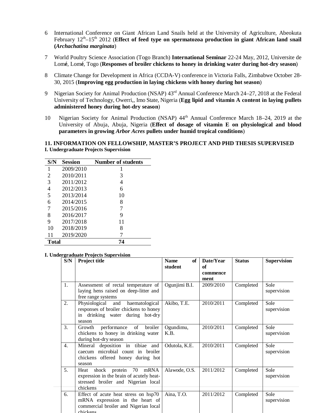- 6 International Conference on Giant African Land Snails held at the University of Agriculture, Abeokuta February 12<sup>th</sup>-15<sup>th</sup> 2012 (**Effect of feed type on spermatozoa production in giant African land snail (***Archachatina marginata*)
- 7 World Poultry Science Association (Togo Branch) **International Seminar** 22-24 May, 2012, Universite de Lom**é**, Lom**é**, Togo (**Responses of broiler chickens to honey in drinking water during hot-dry season**)
- 8 Climate Change for Development in Africa (CCDA-V) conference in Victoria Falls, Zimbabwe October 28- 30, 2015 (**Improving egg production in laying chickens with honey during hot season**)
- 9 Nigerian Society for Animal Production (NSAP) 43rd Annual Conference March 24–27, 2018 at the Federal University of Technology, Owerri,, Imo State, Nigeria (**Egg lipid and vitamin A content in laying pullets administered honey during hot-dry season**)
- 10 Nigerian Society for Animal Production (NSAP)  $44<sup>th</sup>$  Annual Conference March 18–24, 2019 at the University of Abuja, Abuja, Nigeria (**Effect of dosage of vitamin E on physiological and blood parameters in growing** *Arbor Acres* **pullets under humid tropical conditions**)

#### **11. INFORMATION ON FELLOWSHIP, MASTER'S PROJECT AND PHD THESIS SUPERVISED I. Undergraduate Projects Supervision**

| S/N          | Session   | <b>Number of students</b> |
|--------------|-----------|---------------------------|
| 1            | 2009/2010 |                           |
| 2            | 2010/2011 | 3                         |
| 3            | 2011/2012 | 4                         |
| 4            | 2012/2013 | 6                         |
| 5            | 2013/2014 | 10                        |
| 6            | 2014/2015 | 8                         |
| 7            | 2015/2016 | 7                         |
| 8            | 2016/2017 | 9                         |
| 9            | 2017/2018 | 11                        |
| 10           | 2018/2019 | 8                         |
| 11           | 2019/2020 |                           |
| <b>Total</b> |           | 74                        |

#### **I. Undergraduate Projects Supervision**

| S/N              | <b>Project title</b>                                                                                                           | <b>Name</b><br>of <sub>1</sub><br>student | Date/Year<br><b>of</b><br>commence<br>ment | <b>Status</b> | <b>Supervision</b>  |
|------------------|--------------------------------------------------------------------------------------------------------------------------------|-------------------------------------------|--------------------------------------------|---------------|---------------------|
| 1.               | Assessment of rectal temperature of<br>laying hens raised on deep-litter and<br>free range systems                             | Ogunjimi B.I.                             | 2009/2010                                  | Completed     | Sole<br>supervision |
| $\overline{2}$ . | haematological<br>Physiological<br>and<br>responses of broiler chickens to honey<br>in drinking water during hot-dry<br>season | Akibo, T.E.                               | 2010/2011                                  | Completed     | Sole<br>supervision |
| 3.               | performance of<br>broiler<br>Growth<br>chickens to honey in drinking water<br>during hot-dry season                            | Ogundimu,<br>K.B.                         | 2010/2011                                  | Completed     | Sole<br>supervision |
| 4.               | Mineral deposition in tibiae and<br>caecum microbial count in broiler<br>chickens offered honey during hot<br>season           | Odutola, K.E.                             | 2010/2011                                  | Completed     | Sole<br>supervision |
| 5.               | shock protein 70 mRNA<br>Heat<br>expression in the brain of acutely heat-<br>stressed broiler and Nigerian local<br>chickens   | Alawode, O.S.                             | 2011/2012                                  | Completed     | Sole<br>supervision |
| 6.               | Effect of acute heat stress on hsp70<br>mRNA expression in the heart of<br>commercial broiler and Nigerian local<br>chickens   | Aina, T.O.                                | 2011/2012                                  | Completed     | Sole<br>supervision |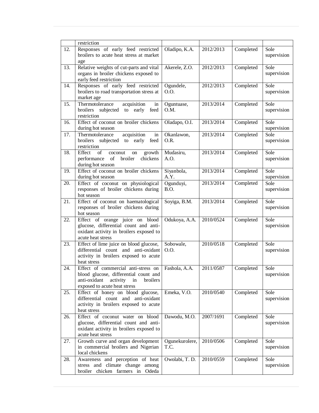|     | restriction                                                                                                                                                |                        |           |           |                     |
|-----|------------------------------------------------------------------------------------------------------------------------------------------------------------|------------------------|-----------|-----------|---------------------|
| 12. | Responses of early feed restricted<br>broilers to acute heat stress at market<br>age                                                                       | Oladipo, K.A.          | 2012/2013 | Completed | Sole<br>supervision |
| 13. | Relative weights of cut-parts and vital<br>organs in broiler chickens exposed to<br>early feed restriction                                                 | Akerele, Z.O.          | 2012/2013 | Completed | Sole<br>supervision |
| 14. | Responses of early feed restricted<br>broilers to road transportation stress at<br>market age                                                              | Ogundele,<br>O.O.      | 2012/2013 | Completed | Sole<br>supervision |
| 15. | Thermotolerance<br>acquisition<br>in<br>broilers<br>to<br>early<br>feed<br>subjected<br>restriction                                                        | Oguntuase,<br>O.M.     | 2013/2014 | Completed | Sole<br>supervision |
| 16. | Effect of coconut on broiler chickens<br>during hot season                                                                                                 | Oladapo, O.I.          | 2013/2014 | Completed | Sole<br>supervision |
| 17. | Thermotolerance<br>acquisition<br>in<br>broilers subjected to early<br>feed<br>restriction                                                                 | Okanlawon,<br>O.R.     | 2013/2014 | Completed | Sole<br>supervision |
| 18. | of<br>Effect<br>growth<br>coconut<br>on<br>broiler<br>chickens<br>performance of<br>during hot season                                                      | Mudasiru,<br>A.O.      | 2013/2014 | Completed | Sole<br>supervision |
| 19. | Effect of coconut on broiler chickens<br>during hot season                                                                                                 | Siyanbola,<br>A.Y.     | 2013/2014 | Completed | Sole<br>supervision |
| 20. | Effect of coconut on physiological<br>responses of broiler chickens during<br>hot season                                                                   | Ogunduyi,<br>B.O.      | 2013/2014 | Completed | Sole<br>supervision |
| 21. | Effect of coconut on haematological<br>responses of broiler chickens during<br>hot season                                                                  | Soyiga, B.M.           | 2013/2014 | Completed | Sole<br>supervision |
| 22. | Effect of orange juice on<br>blood<br>glucose, differential count and anti-<br>oxidant activity in broilers exposed to<br>acute heat stress                | Odukoya, A.A.          | 2010/0524 | Completed | Sole<br>supervision |
| 23. | Effect of lime juice on blood glucose,<br>differential count and anti-oxidant<br>activity in broilers exposed to acute<br>heat stress                      | Sobowale,<br>O.O.      | 2010/0518 | Completed | Sole<br>supervision |
| 24. | Effect of commercial anti-stress on<br>blood glucose, differential count and<br>broilers<br>anti-oxidant<br>activity<br>in<br>exposed to acute heat stress | Fashola, A.A.          | 2011/0587 | Completed | Sole<br>supervision |
| 25. | Effect of honey on blood glucose,<br>differential count and anti-oxidant<br>activity in broilers exposed to acute<br>heat stress                           | Emeka, V.O.            | 2010/0540 | Completed | Sole<br>supervision |
| 26. | Effect of coconut water on blood<br>glucose, differential count and anti-<br>oxidant activity in broilers exposed to<br>acute heat stress                  | Dawodu, M.O.           | 2007/1691 | Completed | Sole<br>supervision |
| 27. | Growth curve and organ development<br>in commercial broilers and Nigerian<br>local chickens                                                                | Ogunekurolere,<br>T.C. | 2010/0506 | Completed | Sole<br>supervision |
| 28. | Awareness and perception of heat<br>stress and climate change among<br>broiler chicken farmers in Odeda                                                    | Owolabi, T. D.         | 2010/0559 | Completed | Sole<br>supervision |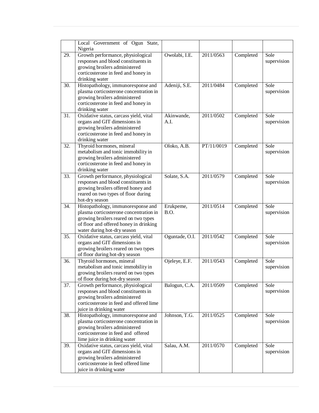|     | Local Government of Ogun State,                                                                                                                                                               |                    |            |           |                     |
|-----|-----------------------------------------------------------------------------------------------------------------------------------------------------------------------------------------------|--------------------|------------|-----------|---------------------|
|     | Nigeria                                                                                                                                                                                       |                    |            |           |                     |
| 29. | Growth performance, physiological<br>responses and blood constituents in<br>growing broilers administered<br>corticosterone in feed and honey in<br>drinking water                            | Owolabi, I.E.      | 2011/0563  | Completed | Sole<br>supervision |
| 30. | Histopathology, immunoresponse and<br>plasma corticosterone concentration in<br>growing broilers administered<br>corticosterone in feed and honey in<br>drinking water                        | Adeniji, S.E.      | 2011/0484  | Completed | Sole<br>supervision |
| 31. | Oxidative status, carcass yield, vital<br>organs and GIT dimensions in<br>growing broilers administered<br>corticosterone in feed and honey in<br>drinking water                              | Akinwande,<br>A.I. | 2011/0502  | Completed | Sole<br>supervision |
| 32. | Thyroid hormones, mineral<br>metabolism and tonic immobility in<br>growing broilers administered<br>corticosterone in feed and honey in<br>drinking water                                     | Oloko, A.B.        | PT/11/0019 | Completed | Sole<br>supervision |
| 33. | Growth performance, physiological<br>responses and blood constituents in<br>growing broilers offered honey and<br>reared on two types of floor during<br>hot-dry season                       | Solate, S.A.       | 2011/0579  | Completed | Sole<br>supervision |
| 34. | Histopathology, immunoresponse and<br>plasma corticosterone concentration in<br>growing broilers reared on two types<br>of floor and offered honey in drinking<br>water during hot-dry season | Erukpeme,<br>B.O.  | 2011/0514  | Completed | Sole<br>supervision |
| 35. | Oxidative status, carcass yield, vital<br>organs and GIT dimensions in<br>growing broilers reared on two types<br>of floor during hot-dry season                                              | Oguntade, O.I.     | 2011/0542  | Completed | Sole<br>supervision |
| 36. | Thyroid hormones, mineral<br>metabolism and tonic immobility in<br>growing broilers reared on two types<br>of floor during hot-dry season                                                     | Ojeleye, E.F.      | 2011/0543  | Completed | Sole<br>supervision |
| 37. | Growth performance, physiological<br>responses and blood constituents in<br>growing broilers administered<br>corticosterone in feed and offered lime<br>juice in drinking water               | Balogun, C.A.      | 2011/0509  | Completed | Sole<br>supervision |
| 38. | Histopathology, immunoresponse and<br>plasma corticosterone concentration in<br>growing broilers administered<br>corticosterone in feed and offered<br>lime juice in drinking water           | Johnson, T.G.      | 2011/0525  | Completed | Sole<br>supervision |
| 39. | Oxidative status, carcass yield, vital<br>organs and GIT dimensions in<br>growing broilers administered<br>corticosterone in feed offered lime<br>juice in drinking water                     | Salau, A.M.        | 2011/0570  | Completed | Sole<br>supervision |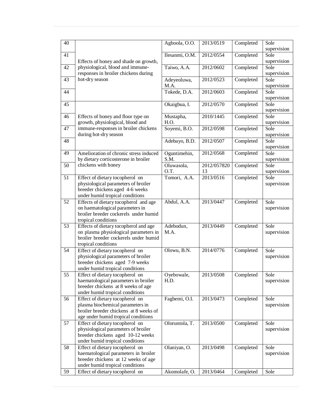| 40 |                                                                          | Agboola, O.O.        | 2013/0519         | Completed | Sole<br>supervision |
|----|--------------------------------------------------------------------------|----------------------|-------------------|-----------|---------------------|
| 41 |                                                                          | Ilesanmi, O.M.       | 2012/0554         | Completed | Sole                |
|    | Effects of honey and shade on growth,                                    |                      |                   |           | supervision         |
| 42 | physiological, blood and immune-                                         | Taiwo, A.A.          | 2012/0602         | Completed | Sole                |
|    | responses in broiler chickens during                                     |                      |                   |           | supervision         |
| 43 | hot-dry season                                                           | Adeyeoluwa,<br>M.A.  | 2012/0523         | Completed | Sole<br>supervision |
| 44 |                                                                          | Tokede, D.A.         | 2012/0603         | Completed | Sole                |
|    |                                                                          |                      |                   |           | supervision         |
| 45 |                                                                          | Okaigbua, I.         | 2012/0570         | Completed | Sole                |
|    |                                                                          |                      |                   |           | supervision         |
| 46 | Effects of honey and floor type on                                       | Mustapha,            | 2010/1445         | Completed | Sole                |
| 47 | growth, physiological, blood and<br>immune-responses in broiler chickens | H.O.<br>Soyemi, B.O. | 2012/0598         | Completed | supervision<br>Sole |
|    | during hot-dry season                                                    |                      |                   |           | supervision         |
| 48 |                                                                          | Adebayo, B.D.        | 2012/0507         | Completed | Sole                |
|    |                                                                          |                      |                   |           | supervision         |
| 49 | Amelioration of chronic stress induced                                   | Oguntimehin,         | 2012/0568         | Completed | Sole                |
|    | by dietary corticosterone in broiler                                     | S.M.                 |                   |           | supervision         |
| 50 | chickens with honey                                                      | Oluwasola,<br>O.T.   | 2012/057820<br>13 | Completed | Sole<br>supervision |
| 51 | Effect of dietary tocopherol on                                          | Tomori, A.A.         | 2013/0516         | Completed | Sole                |
|    | physiological parameters of broiler                                      |                      |                   |           | supervision         |
|    | breeder chickens aged 4-6 weeks                                          |                      |                   |           |                     |
|    | under humid tropical conditions                                          |                      |                   |           |                     |
| 52 | Effects of dietary tocopherol and age                                    | Abdul, A.A.          | 2013/0447         | Completed | Sole                |
|    | on haematological parameters in<br>broiler breeder cockerels under humid |                      |                   |           | supervision         |
|    | tropical conditions                                                      |                      |                   |           |                     |
| 53 | Effects of dietary tocopherol and age                                    | Adebodun,            | 2013/0449         | Completed | Sole                |
|    | on plasma physiological parameters in                                    | M.A.                 |                   |           | supervision         |
|    | broiler breeder cockerels under humid                                    |                      |                   |           |                     |
| 54 | tropical conditions                                                      | Olowu, B.N.          | 2014/0776         |           | Sole                |
|    | Effect of dietary tocopherol on<br>physiological parameters of broiler   |                      |                   | Completed | supervision         |
|    | breeder chickens aged 7-9 weeks                                          |                      |                   |           |                     |
|    | under humid tropical conditions                                          |                      |                   |           |                     |
| 55 | Effect of dietary tocopherol on                                          | Oyebowale,           | 2013/0508         | Completed | Sole                |
|    | haematological parameters in broiler                                     | H.D.                 |                   |           | supervision         |
|    | breeder chickens at 8 weeks of age<br>under humid tropical conditions    |                      |                   |           |                     |
| 56 | Effect of dietary tocopherol on                                          | Fagbemi, O.I.        | 2013/0473         | Completed | Sole                |
|    | plasma biochemical parameters in                                         |                      |                   |           | supervision         |
|    | broiler breeder chickens at 8 weeks of                                   |                      |                   |           |                     |
|    | age under humid tropical conditions                                      |                      |                   |           |                     |
| 57 | Effect of dietary tocopherol on<br>physiological parameters of broiler   | Oloruntola, T.       | 2013/0500         | Completed | Sole                |
|    | breeder chickens aged 10-12 weeks                                        |                      |                   |           | supervision         |
|    | under humid tropical conditions                                          |                      |                   |           |                     |
| 58 | Effect of dietary tocopherol on                                          | Olaniyan, O.         | 2013/0498         | Completed | Sole                |
|    | haematological parameters in broiler                                     |                      |                   |           | supervision         |
|    | breeder chickens at 12 weeks of age                                      |                      |                   |           |                     |
| 59 | under humid tropical conditions<br>Effect of dietary tocopherol on       | Akomolafe, O.        | 2013/0464         | Completed | Sole                |
|    |                                                                          |                      |                   |           |                     |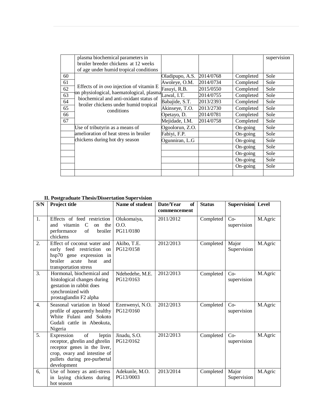|    | plasma biochemical parameters in                                                                            |                 |           |            | supervision |
|----|-------------------------------------------------------------------------------------------------------------|-----------------|-----------|------------|-------------|
|    | broiler breeder chickens at 12 weeks                                                                        |                 |           |            |             |
|    | of age under humid tropical conditions                                                                      |                 |           |            |             |
| 60 |                                                                                                             | Oladipupo, A.S. | 2014/0768 | Completed  | Sole        |
| 61 | Effects of in ovo injection of vitamin E<br>on physiological, haematological, plasma <sub>Lawal, I.T.</sub> | Awoleye, O.M.   | 2014/0734 | Completed  | Sole        |
| 62 |                                                                                                             | Fasuyi, R.B.    | 2015/0550 | Completed  | Sole        |
| 63 |                                                                                                             |                 | 2014/0755 | Completed  | Sole        |
| 64 | biochemical and anti-oxidant status of<br>broiler chickens under humid tropical                             | Babajide, S.T.  | 2013/2393 | Completed  | Sole        |
| 65 | conditions                                                                                                  | Akinseye, T.O.  | 2013/2730 | Completed  | Sole        |
| 66 |                                                                                                             | Opetayo, D.     | 2014/0781 | Completed  | Sole        |
| 67 |                                                                                                             | Mejidade, I.M.  | 2014/0758 | Completed  | Sole        |
|    | Use of tributyrin as a means of                                                                             | Ogoolorun, Z.O. |           | $On-going$ | Sole        |
|    | amelioration of heat stress in broiler                                                                      | Fabiyi, F.P.    |           | On-going   | Sole        |
|    | chickens during hot dry season                                                                              | Ogunniran, L.G  |           | $On-going$ | Sole        |
|    |                                                                                                             |                 |           | $On-going$ | Sole        |
|    |                                                                                                             |                 |           | On-going   | Sole        |
|    |                                                                                                             |                 |           | $On-going$ | Sole        |
|    |                                                                                                             |                 |           | On-going   | Sole        |
|    |                                                                                                             |                 |           |            |             |

# **II. Postgraduate Thesis/Dissertation Supervision**

| S/N              | Project title                                                                                                                                                                    | Name of student                  | Date/Year<br>of<br>commencement | <b>Status</b> | <b>Supervision</b> Level |         |
|------------------|----------------------------------------------------------------------------------------------------------------------------------------------------------------------------------|----------------------------------|---------------------------------|---------------|--------------------------|---------|
| 1.               | Effects of feed restriction<br>vitamin C<br>and<br>the<br>on<br>of<br>broiler<br>performance<br>chickens                                                                         | Olukomaiya,<br>O.O.<br>PG11/0180 | 2011/2012                       | Completed     | $Co-$<br>supervision     | M.Agric |
| 2.               | Effect of coconut water and<br>early feed restriction on<br>hsp70 gene expression in<br>broiler<br>heat<br>acute<br>and<br>transportation stress                                 | Akibo, T.E.<br>PG12/0158         | 2012/2013                       | Completed     | Major<br>Supervision     | M.Agric |
| 3.               | Hormonal, biochemical and<br>histological changes during<br>gestation in rabbit does<br>synchronized with<br>prostaglandin F2 alpha                                              | Ndehedehe, M.E.<br>PG12/0163     | 2012/2013                       | Completed     | $Co-$<br>supervision     | M.Agric |
| $\overline{4}$ . | Seasonal variation in blood<br>profile of apparently healthy<br>White Fulani and Sokoto<br>Gudali cattle in Abeokuta,<br>Nigeria                                                 | Ezenwenyi, N.O.<br>PG12/0160     | 2012/2013                       | Completed     | $Co-$<br>supervision     | M.Agric |
| 5.               | $\sigma$<br>Expression<br>leptin<br>receptor, ghrelin and ghrelin<br>receptor genes in the liver,<br>crop, ovary and intestine of<br>pullets during pre-purbertal<br>development | Jinadu, S.O.<br>PG12/0162        | 2012/2013                       | Completed     | $Co-$<br>supervision     | M.Agric |
| 6,               | Use of honey as anti-stress<br>in laying chickens during<br>hot season                                                                                                           | Adekunle, M.O.<br>PG13/0003      | 2013/2014                       | Completed     | Major<br>Supervision     | M.Agric |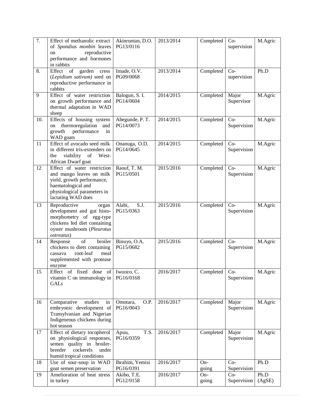| 7.  | Effect of methanolic extract<br>of Spondias monbin leaves<br>reproductive<br><sub>on</sub><br>performance and hormones<br>in rabbits                               | Akinruntan, D.O.<br>PG13/0116 | 2013/2014 | Completed     | $Co-$<br>supervision | M.Agric        |
|-----|--------------------------------------------------------------------------------------------------------------------------------------------------------------------|-------------------------------|-----------|---------------|----------------------|----------------|
| 8.  | Effect of<br>garden<br>cress<br>(Lepidium sativum) seed on<br>reproductive performance in<br>rabbits                                                               | Imade, O.V.<br>PG09/0068      | 2013/2014 | Completed     | $Co-$<br>supervision | Ph.D           |
| 9   | Effect of water restriction<br>on growth performance and<br>thermal adaptation in WAD<br>sheep                                                                     | Balogun, S. I.<br>PG14/0604   | 2014/2015 | Completed     | Major<br>Supervisor  | M.Agric        |
| 10. | Effects of housing system<br>thermoregulation<br>and<br>on<br>performance<br>growth<br>in<br>WAD goats                                                             | Abegunde, P. T.<br>PG14/0073  | 2014/2015 | Completed     | $Co-$<br>Supervision | M.Agric        |
| 11  | Effect of avocado seed milk<br>in different tris-extenders on<br>viability of<br>West-<br>the<br>African Dwarf goat                                                | Onanuga, O.D.<br>PG14/0645    | 2014/2015 | Completed     | $Co-$<br>Supervision | M.Agric        |
| 12  | Effect of water restriction<br>and mango leaves on milk<br>yield, growth performance,<br>haematological and<br>physiological parameters in<br>lactating WAD does   | Raouf, T. M.<br>PG15/0501     | 2015/2016 | Completed     | $Co-$<br>Supervision | M.Agric        |
| 13  | Reproductive<br>organ<br>development and gut histo-<br>morphometry of egg-type<br>chickens fed diet containing<br>oyster mushroom (Pleurotus<br><i>ostreatus</i> ) | S.J.<br>Alabi,<br>PG15/0363   | 2015/2016 | Completed     | $Co-$<br>Supervision | M.Agric        |
| 14  | broiler<br>of<br>Response<br>chickens to diets containing<br>root-leaf<br>meal<br>cassava<br>supplemented with protease<br>enzyme                                  | Binuyo, O.A.<br>PG15/0682     | 2015/2016 | Completed     | $Co-$<br>Supervision | M.Agric        |
| 15  | Effect of fixed dose of Iwuozo, C.<br>vitamin C on immunology in<br>GALs                                                                                           | PG16/0168                     | 2016/2017 | Completed Co- | Supervision          | M.Agric        |
| 16  | Comparative<br>studies<br>in<br>embryonic development of<br>Transylvanian and Nigerian<br>Indigeneous chickens during<br>hot season                                | O.P.<br>Omotara,<br>PG16/0043 | 2016/2017 | Completed     | Major<br>Supervision | M.Agric        |
| 17  | Effect of dietary tocopherol<br>on physiological responses,<br>semen quality in broiler-<br>breeder<br>cockerels<br>under<br>humid tropical conditions             | T.S.<br>Apuu,<br>PG16/0359    | 2016/2017 | Completed     | Major<br>Supervision | M.Agric        |
| 18  | Use of sour-soup in WAD<br>goat semen preservation                                                                                                                 | Ibrahim, Yemisi<br>PG16/0391  | 2016/2017 | On-<br>going  | $Co-$<br>Supervision | Ph.D           |
| 19  | Amelioration of heat stress<br>in turkey                                                                                                                           | Akibo, T.E.<br>PG12/0158      | 2016/2017 | On-<br>going  | $Co-$<br>Supervision | Ph.D<br>(AgSE) |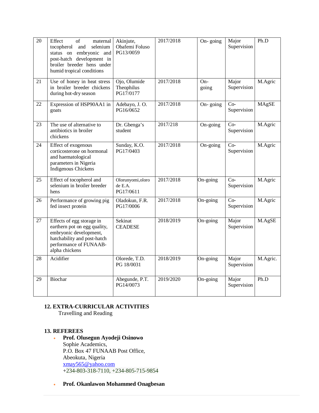| $\overline{20}$ | Effect<br>of<br>maternal<br>and<br>selenium<br>tocopherol<br>status on embryonic and<br>post-hatch development in<br>broiler breeder hens under<br>humid tropical conditions | Akinjute,<br>Obafemi Foluso<br>PG13/0059 | 2017/2018 | On- $\overline{\text{going}}$ | Major<br>Supervision | Ph.D         |
|-----------------|------------------------------------------------------------------------------------------------------------------------------------------------------------------------------|------------------------------------------|-----------|-------------------------------|----------------------|--------------|
| 21              | Use of honey in heat stress<br>in broiler breeder chickens<br>during hot-dry season                                                                                          | Ojo, Olumide<br>Theophilus<br>PG17/0177  | 2017/2018 | On-<br>going                  | Major<br>Supervision | M.Agric      |
| 22              | Expression of HSP90AA1 in<br>goats                                                                                                                                           | Adebayo, J. O.<br>PG16/0652              | 2017/2018 | On-going                      | $Co-$<br>Supervision | <b>MAgSE</b> |
| 23              | The use of alternative to<br>antibiotics in broiler<br>chickens                                                                                                              | Dr. Gbenga's<br>student                  | 2017/218  | On-going                      | $Co-$<br>Supervision | M.Agric      |
| 24              | Effect of exogenous<br>corticosterone on hormonal<br>and haematological<br>parameters in Nigeria<br>Indigenous Chickens                                                      | Sunday, K.O.<br>PG17/0403                | 2017/2018 | On-going                      | $Co-$<br>Supervision | M.Agric      |
| 25              | Effect of tocopherol and<br>selenium in broiler breeder<br>hens                                                                                                              | Olorunyomi,oloro<br>de E.A.<br>PG17/0611 | 2017/2018 | On-going                      | $Co-$<br>Supervision | M.Agric      |
| 26              | Performance of growing pig<br>fed insect protein                                                                                                                             | Oladokun, F.R.<br>PG17/0006              | 2017/2018 | On-going                      | $Co-$<br>Supervision | M.Agric      |
| 27              | Effects of egg storage in<br>earthern pot on egg quality,<br>embryonic development,<br>hatchability and post-hatch<br>performance of FUNAAB-<br>alpha chickens               | Sekinat<br><b>CEADESE</b>                | 2018/2019 | On-going                      | Major<br>Supervision | M.AgSE       |
| 28              | Acidifier                                                                                                                                                                    | Olorede, T.D.<br>PG 18/0031              | 2018/2019 | On-going                      | Major<br>Supervision | M.Agric.     |
| 29              | Biochar                                                                                                                                                                      | Abegunde, P.T.<br>PG14/0073              | 2019/2020 | On-going                      | Major<br>Supervision | Ph.D         |

# **12. EXTRA-CURRICULAR ACTIVITIES**

Travelling and Reading

#### **13. REFEREES**

- **Prof. Olusegun Ayodeji Osinowo** Sophie Academics, P.O. Box 47 FUNAAB Post Office, Abeokuta, Nigeria [xmay565@yahoo.com](mailto:xmay565@yahoo.com) +234-803-318-7110, +234-805-715-9854
- **Prof. Okanlawon Mohammed Onagbesan**